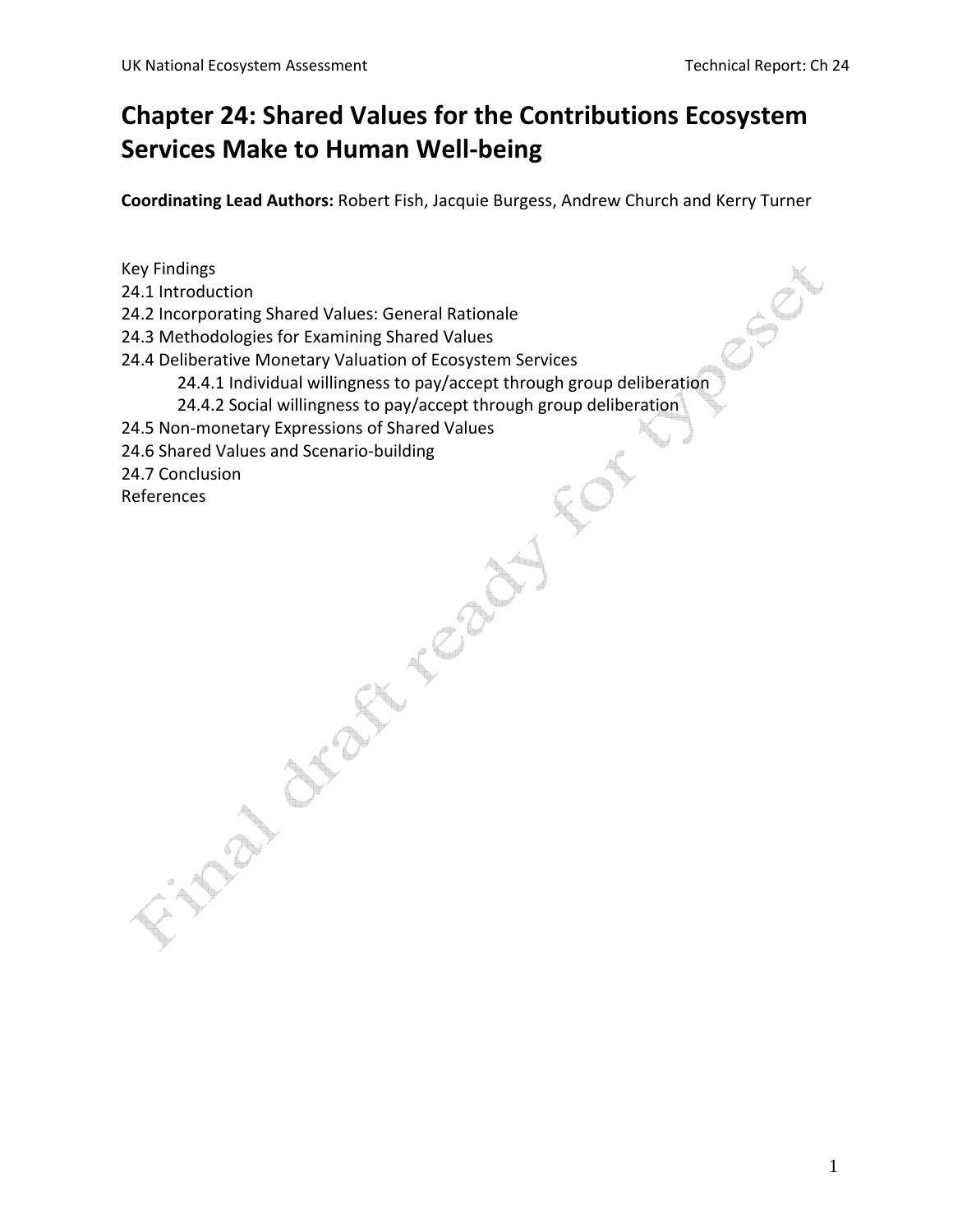# **Chapter 24: Shared Values for the Contributions Ecosystem Services Make to Human Well‐being**

**Coordinating Lead Authors:** Robert Fish, Jacquie Burgess, Andrew Church and Kerry Turner

| <b>Key Findings</b>                                                                                                  |  |
|----------------------------------------------------------------------------------------------------------------------|--|
| 24.1 Introduction                                                                                                    |  |
| 24.2 Incorporating Shared Values: General Rationale                                                                  |  |
| 24.3 Methodologies for Examining Shared Values                                                                       |  |
| 24.4 Deliberative Monetary Valuation of Ecosystem Services                                                           |  |
| 24.4.1 Individual willingness to pay/accept through group deliberation                                               |  |
| 24.4.2 Social willingness to pay/accept through group deliberation<br>24.5 Non-monetary Expressions of Shared Values |  |
| 24.6 Shared Values and Scenario-building                                                                             |  |
| 24.7 Conclusion                                                                                                      |  |
| References                                                                                                           |  |
|                                                                                                                      |  |
|                                                                                                                      |  |
|                                                                                                                      |  |
|                                                                                                                      |  |
|                                                                                                                      |  |
|                                                                                                                      |  |
|                                                                                                                      |  |
|                                                                                                                      |  |
|                                                                                                                      |  |
|                                                                                                                      |  |
|                                                                                                                      |  |
|                                                                                                                      |  |
|                                                                                                                      |  |
|                                                                                                                      |  |
|                                                                                                                      |  |
|                                                                                                                      |  |
|                                                                                                                      |  |
|                                                                                                                      |  |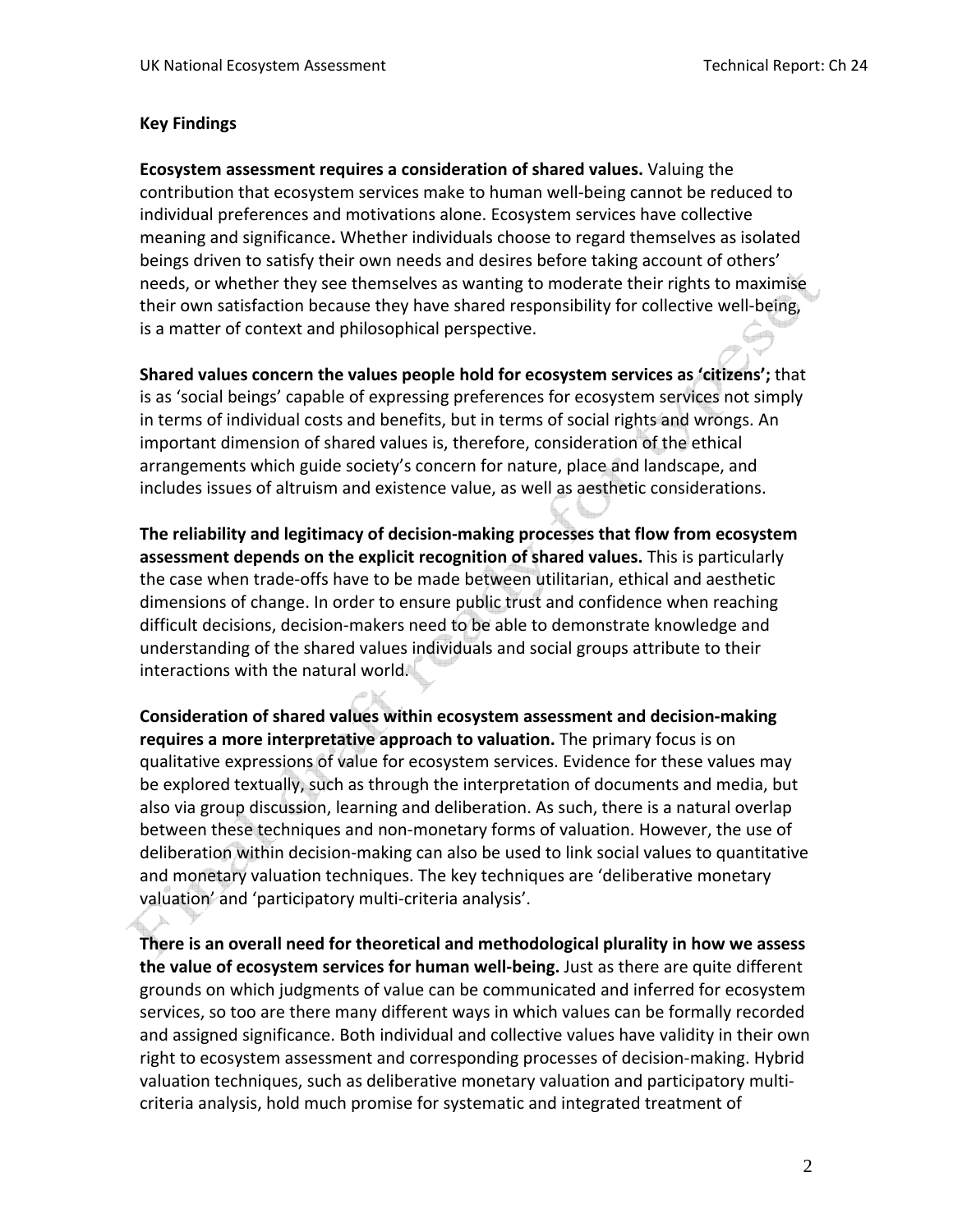#### **Key Findings**

**Ecosystem assessment requires a consideration of shared values.** Valuing the contribution that ecosystem services make to human well‐being cannot be reduced to individual preferences and motivations alone. Ecosystem services have collective meaning and significance**.** Whether individuals choose to regard themselves as isolated beings driven to satisfy their own needs and desires before taking account of others' needs, or whether they see themselves as wanting to moderate their rights to maximise their own satisfaction because they have shared responsibility for collective well‐being, is a matter of context and philosophical perspective.

**Shared values concern the values people hold for ecosystem services as 'citizens';** that is as 'social beings' capable of expressing preferences for ecosystem services not simply in terms of individual costs and benefits, but in terms of social rights and wrongs. An important dimension of shared values is, therefore, consideration of the ethical arrangements which guide society's concern for nature, place and landscape, and includes issues of altruism and existence value, as well as aesthetic considerations.

**The reliability and legitimacy of decision‐making processes that flow from ecosystem assessment depends on the explicit recognition of shared values.** This is particularly the case when trade‐offs have to be made between utilitarian, ethical and aesthetic dimensions of change. In order to ensure public trust and confidence when reaching difficult decisions, decision‐makers need to be able to demonstrate knowledge and understanding of the shared values individuals and social groups attribute to their interactions with the natural world.

**Consideration of shared values within ecosystem assessment and decision‐making requires a more interpretative approach to valuation.** The primary focus is on qualitative expressions of value for ecosystem services. Evidence for these values may be explored textually, such as through the interpretation of documents and media, but also via group discussion, learning and deliberation. As such, there is a natural overlap between these techniques and non‐monetary forms of valuation. However, the use of deliberation within decision‐making can also be used to link social values to quantitative and monetary valuation techniques. The key techniques are 'deliberative monetary valuation' and 'participatory multi‐criteria analysis'.

**There is an overall need for theoretical and methodological plurality in how we assess the value of ecosystem services for human well‐being.** Just as there are quite different grounds on which judgments of value can be communicated and inferred for ecosystem services, so too are there many different ways in which values can be formally recorded and assigned significance. Both individual and collective values have validity in their own right to ecosystem assessment and corresponding processes of decision‐making. Hybrid valuation techniques, such as deliberative monetary valuation and participatory multi‐ criteria analysis, hold much promise for systematic and integrated treatment of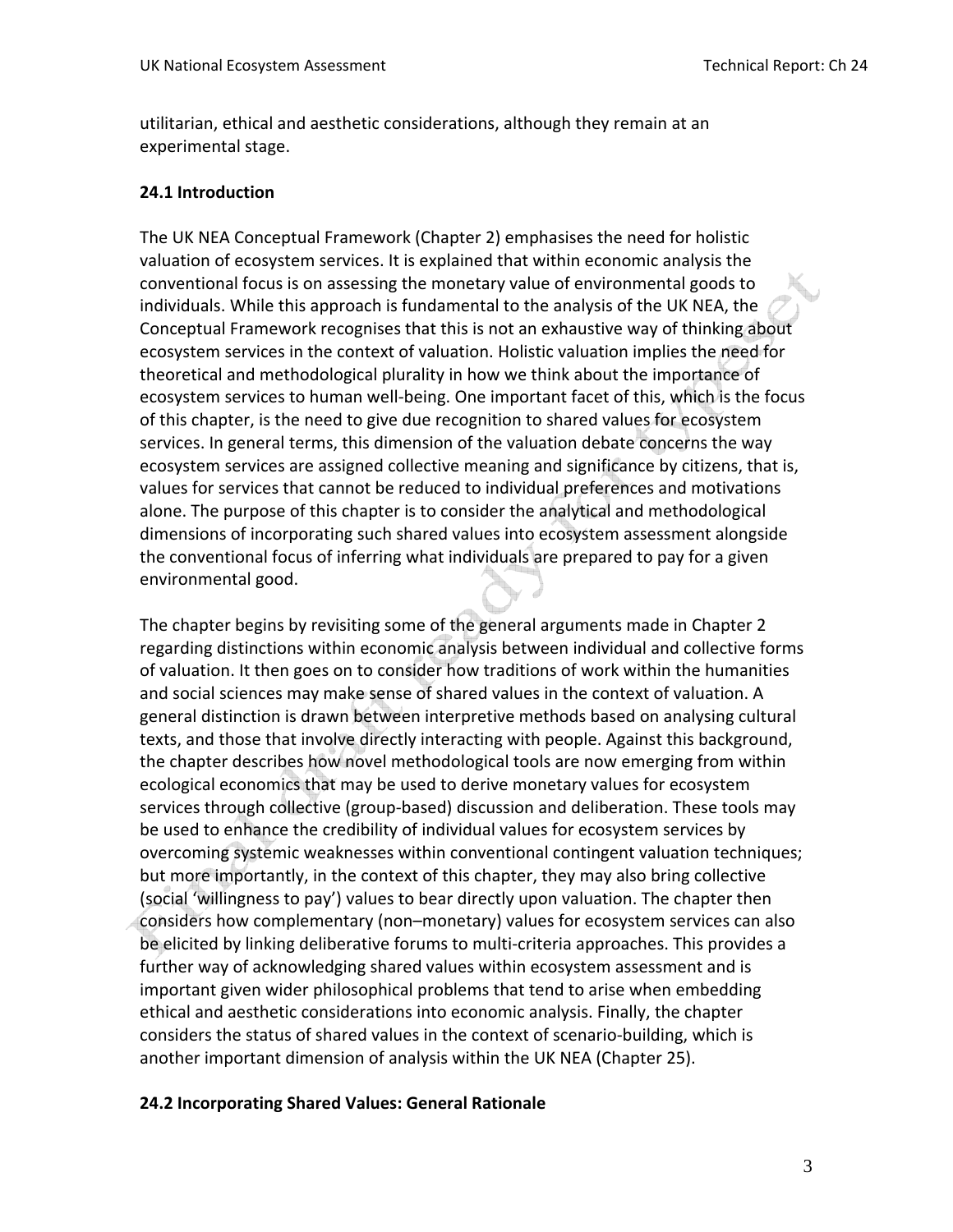utilitarian, ethical and aesthetic considerations, although they remain at an experimental stage.

### **24.1 Introduction**

The UK NEA Conceptual Framework (Chapter 2) emphasises the need for holistic valuation of ecosystem services. It is explained that within economic analysis the conventional focus is on assessing the monetary value of environmental goods to individuals. While this approach is fundamental to the analysis of the UK NEA, the Conceptual Framework recognises that this is not an exhaustive way of thinking about ecosystem services in the context of valuation. Holistic valuation implies the need for theoretical and methodological plurality in how we think about the importance of ecosystem services to human well‐being. One important facet of this, which is the focus of this chapter, is the need to give due recognition to shared values for ecosystem services. In general terms, this dimension of the valuation debate concerns the way ecosystem services are assigned collective meaning and significance by citizens, that is, values for services that cannot be reduced to individual preferences and motivations alone. The purpose of this chapter is to consider the analytical and methodological dimensions of incorporating such shared values into ecosystem assessment alongside the conventional focus of inferring what individuals are prepared to pay for a given environmental good.

The chapter begins by revisiting some of the general arguments made in Chapter 2 regarding distinctions within economic analysis between individual and collective forms of valuation. It then goes on to consider how traditions of work within the humanities and social sciences may make sense of shared values in the context of valuation. A general distinction is drawn between interpretive methods based on analysing cultural texts, and those that involve directly interacting with people. Against this background, the chapter describes how novel methodological tools are now emerging from within ecological economics that may be used to derive monetary values for ecosystem services through collective (group‐based) discussion and deliberation. These tools may be used to enhance the credibility of individual values for ecosystem services by overcoming systemic weaknesses within conventional contingent valuation techniques; but more importantly, in the context of this chapter, they may also bring collective (social 'willingness to pay') values to bear directly upon valuation. The chapter then considers how complementary (non–monetary) values for ecosystem services can also be elicited by linking deliberative forums to multi-criteria approaches. This provides a further way of acknowledging shared values within ecosystem assessment and is important given wider philosophical problems that tend to arise when embedding ethical and aesthetic considerations into economic analysis. Finally, the chapter considers the status of shared values in the context of scenario‐building, which is another important dimension of analysis within the UK NEA (Chapter 25).

### **24.2 Incorporating Shared Values: General Rationale**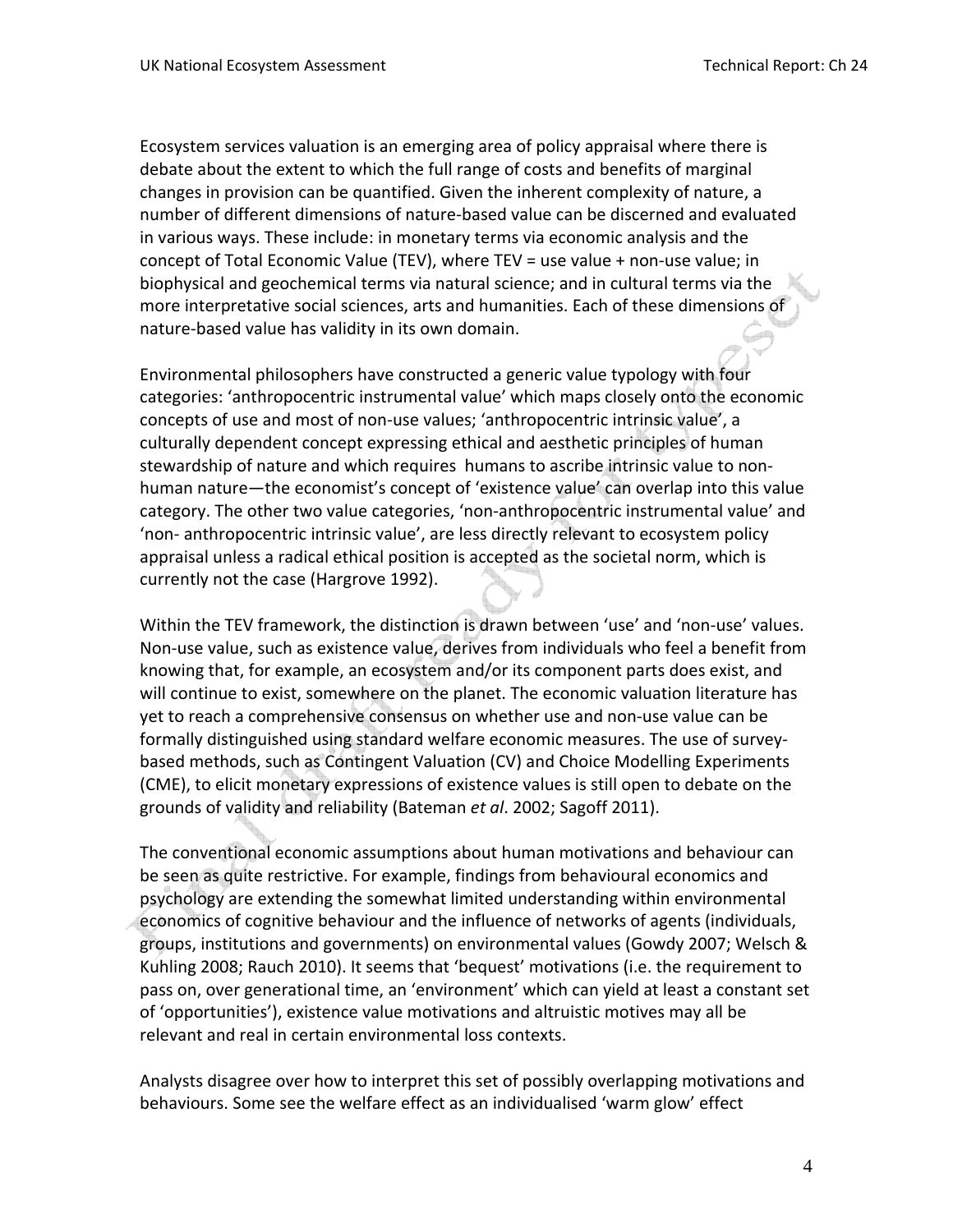Ecosystem services valuation is an emerging area of policy appraisal where there is debate about the extent to which the full range of costs and benefits of marginal changes in provision can be quantified. Given the inherent complexity of nature, a number of different dimensions of nature‐based value can be discerned and evaluated in various ways. These include: in monetary terms via economic analysis and the concept of Total Economic Value (TEV), where TEV = use value + non-use value; in biophysical and geochemical terms via natural science; and in cultural terms via the more interpretative social sciences, arts and humanities. Each of these dimensions of nature‐based value has validity in its own domain.

Environmental philosophers have constructed a generic value typology with four categories: 'anthropocentric instrumental value' which maps closely onto the economic concepts of use and most of non-use values; 'anthropocentric intrinsic value', a culturally dependent concept expressing ethical and aesthetic principles of human stewardship of nature and which requires humans to ascribe intrinsic value to non‐ human nature—the economist's concept of 'existence value' can overlap into this value category. The other two value categories, 'non‐anthropocentric instrumental value' and 'non‐ anthropocentric intrinsic value', are less directly relevant to ecosystem policy appraisal unless a radical ethical position is accepted as the societal norm, which is currently not the case (Hargrove 1992).

Within the TEV framework, the distinction is drawn between 'use' and 'non‐use' values. Non-use value, such as existence value, derives from individuals who feel a benefit from knowing that, for example, an ecosystem and/or its component parts does exist, and will continue to exist, somewhere on the planet. The economic valuation literature has yet to reach a comprehensive consensus on whether use and non‐use value can be formally distinguished using standard welfare economic measures. The use of survey‐ based methods, such as Contingent Valuation (CV) and Choice Modelling Experiments (CME), to elicit monetary expressions of existence values is still open to debate on the grounds of validity and reliability (Bateman *et al*. 2002; Sagoff 2011).

The conventional economic assumptions about human motivations and behaviour can be seen as quite restrictive. For example, findings from behavioural economics and psychology are extending the somewhat limited understanding within environmental economics of cognitive behaviour and the influence of networks of agents (individuals, groups, institutions and governments) on environmental values (Gowdy 2007; Welsch & Kuhling 2008; Rauch 2010). It seems that 'bequest' motivations (i.e. the requirement to pass on, over generational time, an 'environment' which can yield at least a constant set of 'opportunities'), existence value motivations and altruistic motives may all be relevant and real in certain environmental loss contexts.

Analysts disagree over how to interpret this set of possibly overlapping motivations and behaviours. Some see the welfare effect as an individualised 'warm glow' effect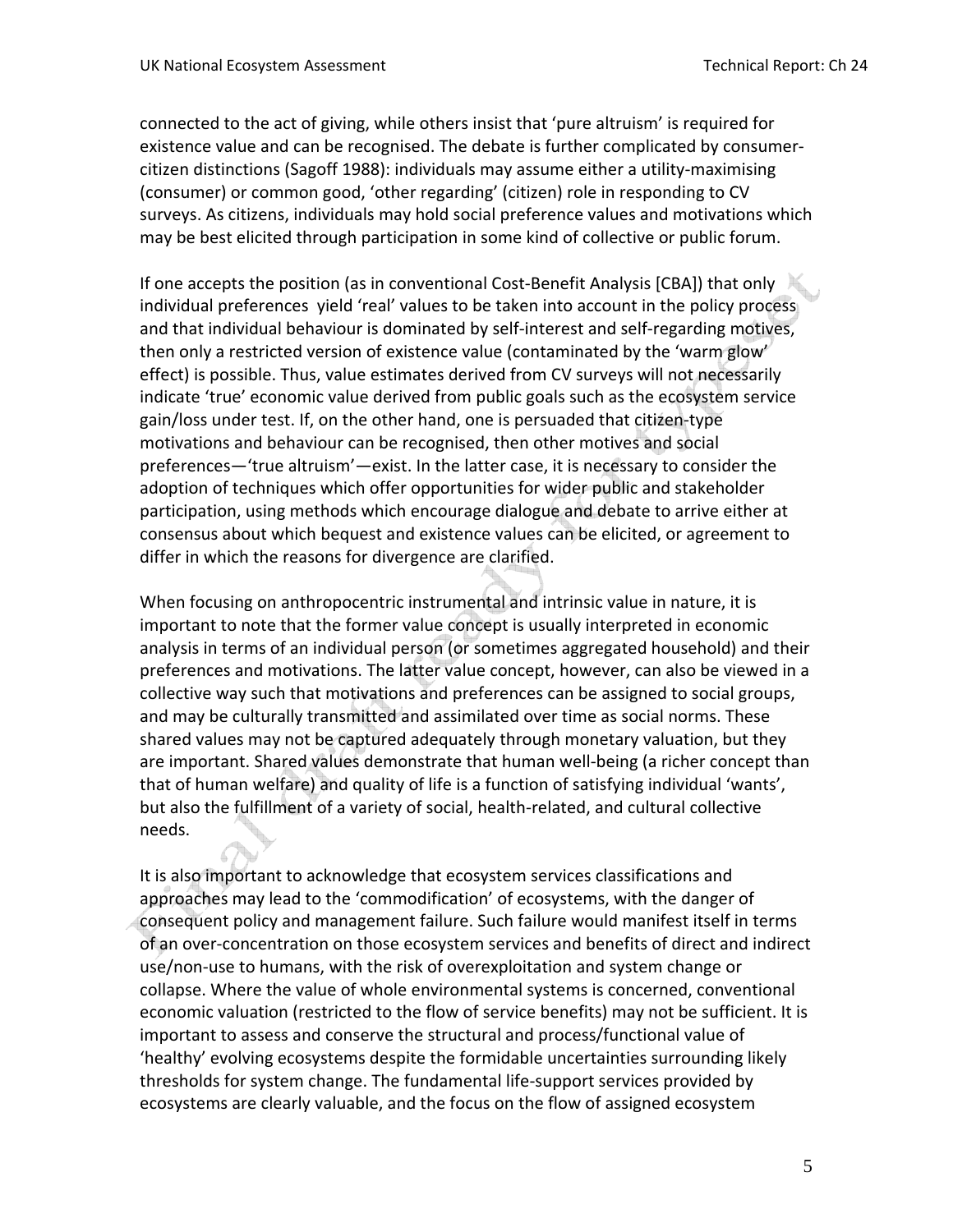connected to the act of giving, while others insist that 'pure altruism' is required for existence value and can be recognised. The debate is further complicated by consumer‐ citizen distinctions (Sagoff 1988): individuals may assume either a utility‐maximising (consumer) or common good, 'other regarding' (citizen) role in responding to CV surveys. As citizens, individuals may hold social preference values and motivations which may be best elicited through participation in some kind of collective or public forum.

If one accepts the position (as in conventional Cost‐Benefit Analysis [CBA]) that only individual preferences yield 'real' values to be taken into account in the policy process and that individual behaviour is dominated by self-interest and self-regarding motives, then only a restricted version of existence value (contaminated by the 'warm glow' effect) is possible. Thus, value estimates derived from CV surveys will not necessarily indicate 'true' economic value derived from public goals such as the ecosystem service gain/loss under test. If, on the other hand, one is persuaded that citizen‐type motivations and behaviour can be recognised, then other motives and social preferences—'true altruism'—exist. In the latter case, it is necessary to consider the adoption of techniques which offer opportunities for wider public and stakeholder participation, using methods which encourage dialogue and debate to arrive either at consensus about which bequest and existence values can be elicited, or agreement to differ in which the reasons for divergence are clarified.

When focusing on anthropocentric instrumental and intrinsic value in nature, it is important to note that the former value concept is usually interpreted in economic analysis in terms of an individual person (or sometimes aggregated household) and their preferences and motivations. The latter value concept, however, can also be viewed in a collective way such that motivations and preferences can be assigned to social groups, and may be culturally transmitted and assimilated over time as social norms. These shared values may not be captured adequately through monetary valuation, but they are important. Shared values demonstrate that human well‐being (a richer concept than that of human welfare) and quality of life is a function of satisfying individual 'wants', but also the fulfillment of a variety of social, health‐related, and cultural collective needs.

It is also important to acknowledge that ecosystem services classifications and approaches may lead to the 'commodification' of ecosystems, with the danger of consequent policy and management failure. Such failure would manifest itself in terms of an over‐concentration on those ecosystem services and benefits of direct and indirect use/non‐use to humans, with the risk of overexploitation and system change or collapse. Where the value of whole environmental systems is concerned, conventional economic valuation (restricted to the flow of service benefits) may not be sufficient. It is important to assess and conserve the structural and process/functional value of 'healthy' evolving ecosystems despite the formidable uncertainties surrounding likely thresholds for system change. The fundamental life‐support services provided by ecosystems are clearly valuable, and the focus on the flow of assigned ecosystem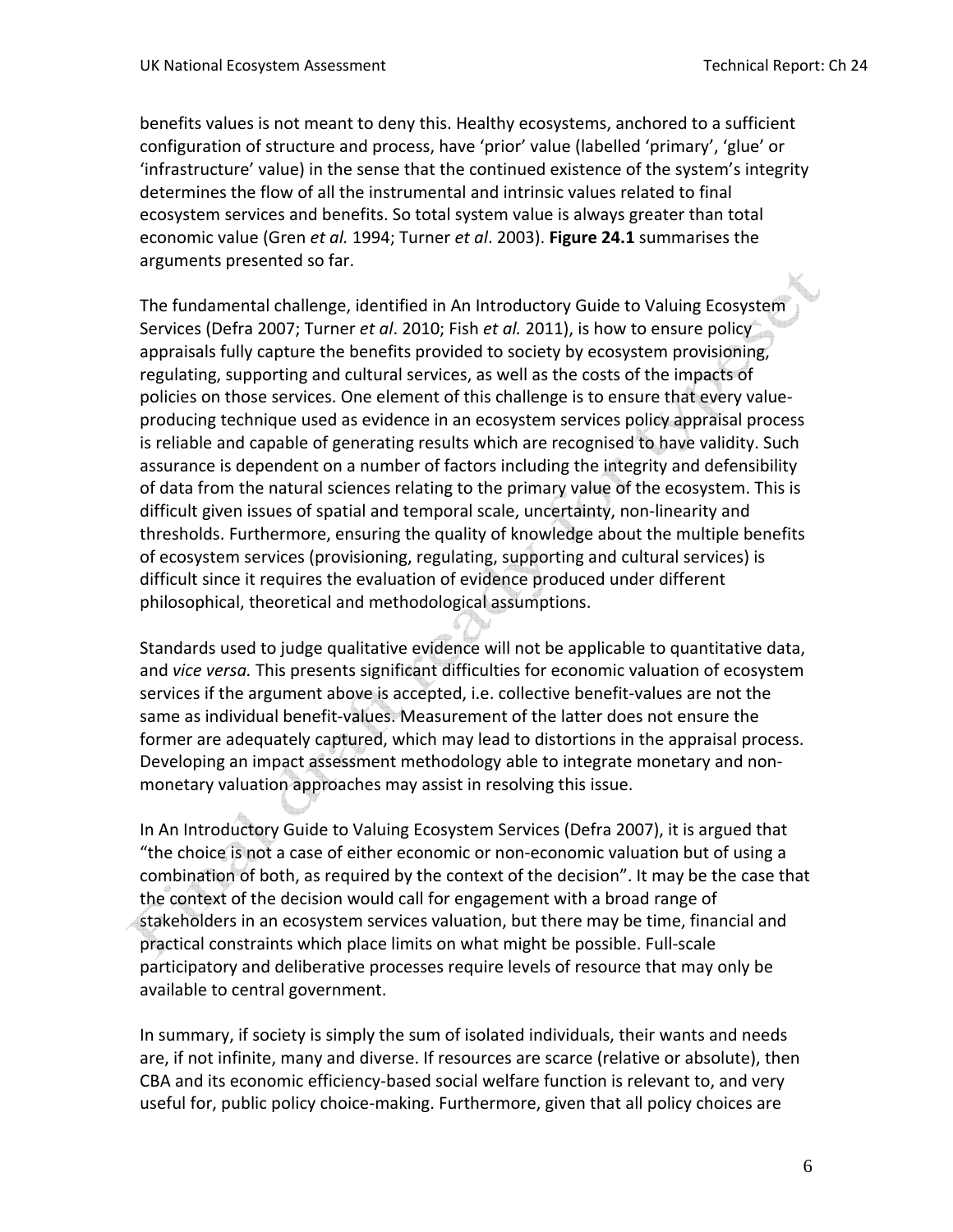benefits values is not meant to deny this. Healthy ecosystems, anchored to a sufficient configuration of structure and process, have 'prior' value (labelled 'primary', 'glue' or 'infrastructure' value) in the sense that the continued existence of the system's integrity determines the flow of all the instrumental and intrinsic values related to final ecosystem services and benefits. So total system value is always greater than total economic value (Gren *et al.* 1994; Turner *et al*. 2003). **Figure 24.1** summarises the arguments presented so far.

The fundamental challenge, identified in An Introductory Guide to Valuing Ecosystem Services (Defra 2007; Turner *et al*. 2010; Fish *et al.* 2011), is how to ensure policy appraisals fully capture the benefits provided to society by ecosystem provisioning, regulating, supporting and cultural services, as well as the costs of the impacts of policies on those services. One element of this challenge is to ensure that every value‐ producing technique used as evidence in an ecosystem services policy appraisal process is reliable and capable of generating results which are recognised to have validity. Such assurance is dependent on a number of factors including the integrity and defensibility of data from the natural sciences relating to the primary value of the ecosystem. This is difficult given issues of spatial and temporal scale, uncertainty, non‐linearity and thresholds. Furthermore, ensuring the quality of knowledge about the multiple benefits of ecosystem services (provisioning, regulating, supporting and cultural services) is difficult since it requires the evaluation of evidence produced under different philosophical, theoretical and methodological assumptions.

Standards used to judge qualitative evidence will not be applicable to quantitative data, and *vice versa.* This presents significant difficulties for economic valuation of ecosystem services if the argument above is accepted, i.e. collective benefit-values are not the same as individual benefit-values. Measurement of the latter does not ensure the former are adequately captured, which may lead to distortions in the appraisal process. Developing an impact assessment methodology able to integrate monetary and non‐ monetary valuation approaches may assist in resolving this issue.

In An Introductory Guide to Valuing Ecosystem Services (Defra 2007), it is argued that "the choice is not a case of either economic or non‐economic valuation but of using a combination of both, as required by the context of the decision". It may be the case that the context of the decision would call for engagement with a broad range of stakeholders in an ecosystem services valuation, but there may be time, financial and practical constraints which place limits on what might be possible. Full‐scale participatory and deliberative processes require levels of resource that may only be available to central government.

In summary, if society is simply the sum of isolated individuals, their wants and needs are, if not infinite, many and diverse. If resources are scarce (relative or absolute), then CBA and its economic efficiency‐based social welfare function is relevant to, and very useful for, public policy choice‐making. Furthermore, given that all policy choices are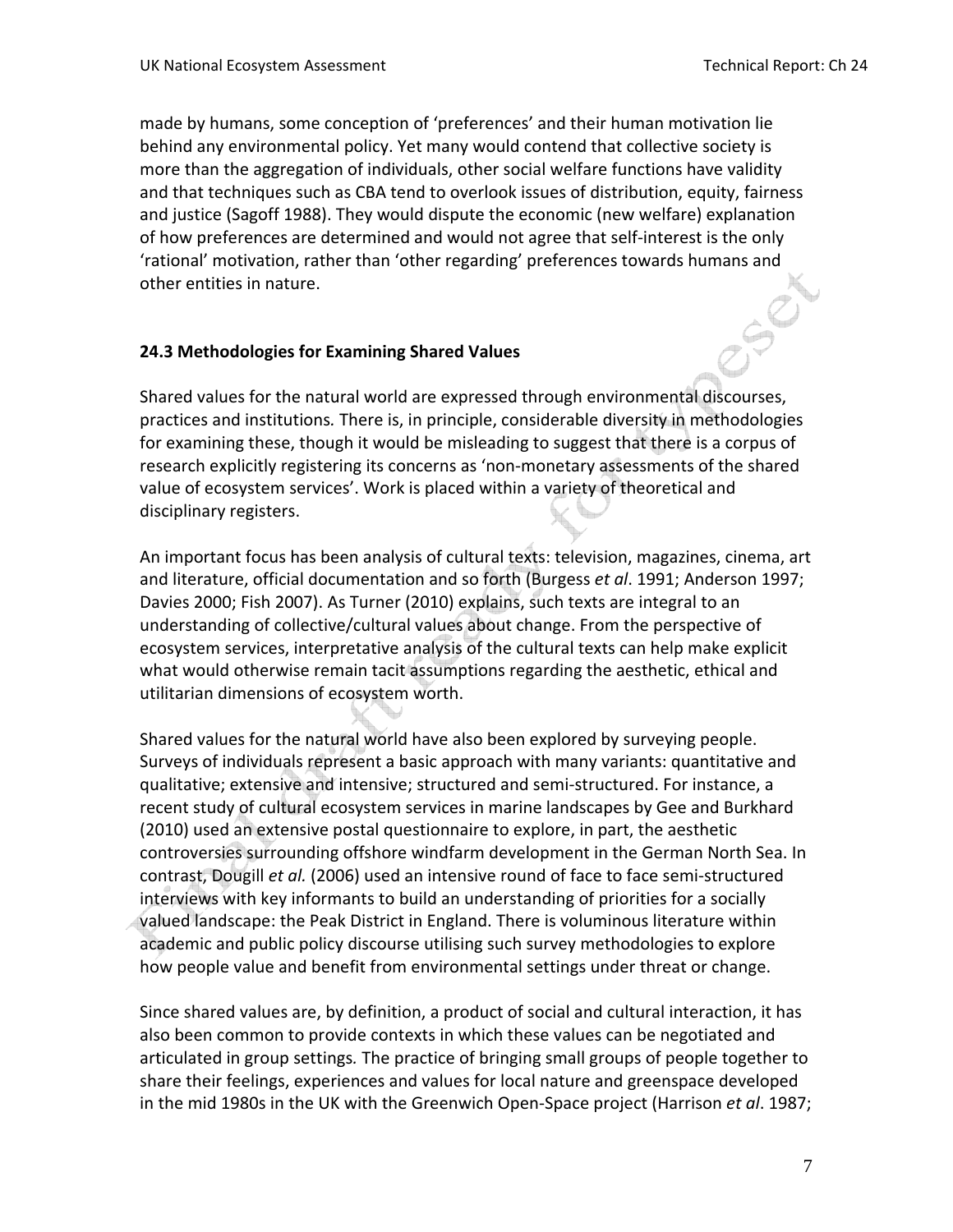made by humans, some conception of 'preferences' and their human motivation lie behind any environmental policy. Yet many would contend that collective society is more than the aggregation of individuals, other social welfare functions have validity and that techniques such as CBA tend to overlook issues of distribution, equity, fairness and justice (Sagoff 1988). They would dispute the economic (new welfare) explanation of how preferences are determined and would not agree that self‐interest is the only 'rational' motivation, rather than 'other regarding' preferences towards humans and other entities in nature.

### **24.3 Methodologies for Examining Shared Values**

Shared values for the natural world are expressed through environmental discourses, practices and institutions*.* There is, in principle, considerable diversity in methodologies for examining these, though it would be misleading to suggest that there is a corpus of research explicitly registering its concerns as 'non‐monetary assessments of the shared value of ecosystem services'. Work is placed within a variety of theoretical and disciplinary registers.

An important focus has been analysis of cultural texts: television, magazines, cinema, art and literature, official documentation and so forth (Burgess *et al*. 1991; Anderson 1997; Davies 2000; Fish 2007). As Turner (2010) explains, such texts are integral to an understanding of collective/cultural values about change. From the perspective of ecosystem services, interpretative analysis of the cultural texts can help make explicit what would otherwise remain tacit assumptions regarding the aesthetic, ethical and utilitarian dimensions of ecosystem worth.

Shared values for the natural world have also been explored by surveying people. Surveys of individuals represent a basic approach with many variants: quantitative and qualitative; extensive and intensive; structured and semi‐structured. For instance, a recent study of cultural ecosystem services in marine landscapes by Gee and Burkhard (2010) used an extensive postal questionnaire to explore, in part, the aesthetic controversies surrounding offshore windfarm development in the German North Sea. In contrast, Dougill *et al.* (2006) used an intensive round of face to face semi‐structured interviews with key informants to build an understanding of priorities for a socially valued landscape: the Peak District in England. There is voluminous literature within academic and public policy discourse utilising such survey methodologies to explore how people value and benefit from environmental settings under threat or change.

Since shared values are, by definition, a product of social and cultural interaction, it has also been common to provide contexts in which these values can be negotiated and articulated in group settings*.* The practice of bringing small groups of people together to share their feelings, experiences and values for local nature and greenspace developed in the mid 1980s in the UK with the Greenwich Open‐Space project (Harrison *et al*. 1987;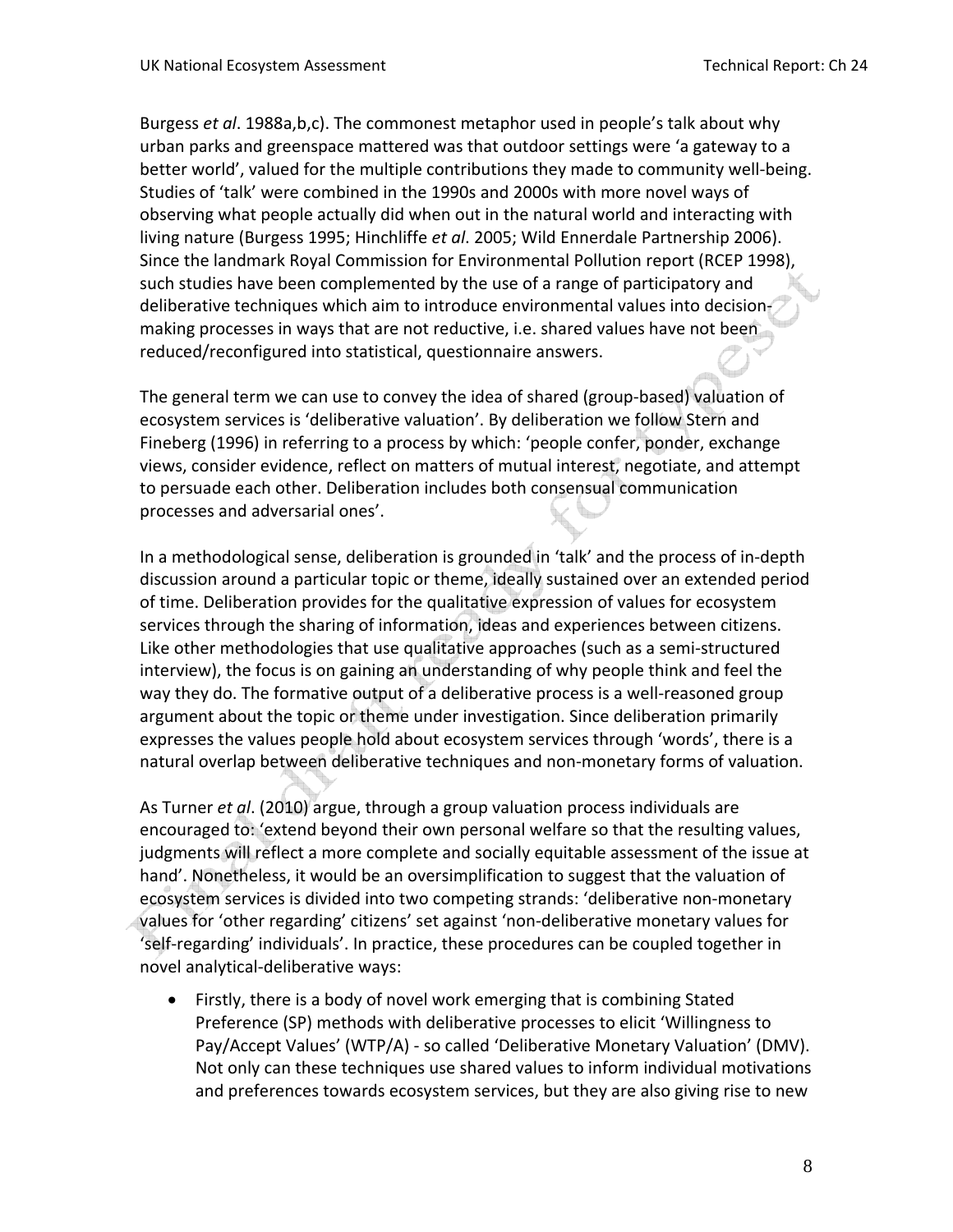Burgess *et al*. 1988a,b,c). The commonest metaphor used in people's talk about why urban parks and greenspace mattered was that outdoor settings were 'a gateway to a better world', valued for the multiple contributions they made to community well‐being. Studies of 'talk' were combined in the 1990s and 2000s with more novel ways of observing what people actually did when out in the natural world and interacting with living nature (Burgess 1995; Hinchliffe *et al*. 2005; Wild Ennerdale Partnership 2006). Since the landmark Royal Commission for Environmental Pollution report (RCEP 1998), such studies have been complemented by the use of a range of participatory and deliberative techniques which aim to introduce environmental values into decision‐ making processes in ways that are not reductive, i.e. shared values have not been reduced/reconfigured into statistical, questionnaire answers.

The general term we can use to convey the idea of shared (group‐based) valuation of ecosystem services is 'deliberative valuation'. By deliberation we follow Stern and Fineberg (1996) in referring to a process by which: 'people confer, ponder, exchange views, consider evidence, reflect on matters of mutual interest, negotiate, and attempt to persuade each other. Deliberation includes both consensual communication processes and adversarial ones'.

In a methodological sense, deliberation is grounded in 'talk' and the process of in‐depth discussion around a particular topic or theme, ideally sustained over an extended period of time. Deliberation provides for the qualitative expression of values for ecosystem services through the sharing of information, ideas and experiences between citizens. Like other methodologies that use qualitative approaches (such as a semi‐structured interview), the focus is on gaining an understanding of why people think and feel the way they do. The formative output of a deliberative process is a well-reasoned group argument about the topic or theme under investigation. Since deliberation primarily expresses the values people hold about ecosystem services through 'words', there is a natural overlap between deliberative techniques and non‐monetary forms of valuation.

As Turner *et al*. (2010) argue, through a group valuation process individuals are encouraged to: 'extend beyond their own personal welfare so that the resulting values, judgments will reflect a more complete and socially equitable assessment of the issue at hand'. Nonetheless, it would be an oversimplification to suggest that the valuation of ecosystem services is divided into two competing strands: 'deliberative non‐monetary values for 'other regarding' citizens' set against 'non‐deliberative monetary values for 'self‐regarding' individuals'. In practice, these procedures can be coupled together in novel analytical‐deliberative ways:

• Firstly, there is a body of novel work emerging that is combining Stated Preference (SP) methods with deliberative processes to elicit 'Willingness to Pay/Accept Values' (WTP/A) ‐ so called 'Deliberative Monetary Valuation' (DMV). Not only can these techniques use shared values to inform individual motivations and preferences towards ecosystem services, but they are also giving rise to new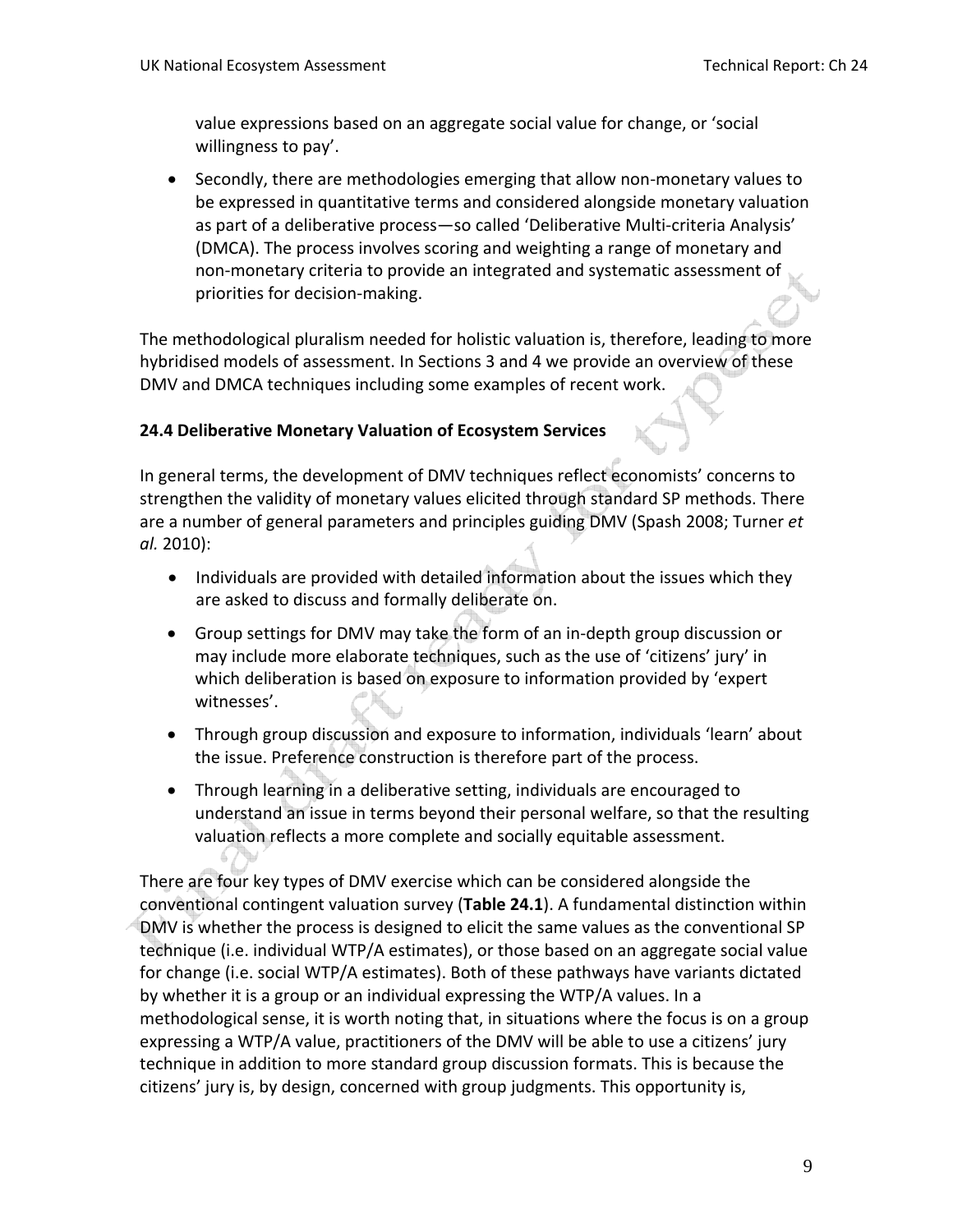value expressions based on an aggregate social value for change, or 'social willingness to pay'.

• Secondly, there are methodologies emerging that allow non‐monetary values to be expressed in quantitative terms and considered alongside monetary valuation as part of a deliberative process—so called 'Deliberative Multi‐criteria Analysis' (DMCA). The process involves scoring and weighting a range of monetary and non‐monetary criteria to provide an integrated and systematic assessment of priorities for decision‐making.

The methodological pluralism needed for holistic valuation is, therefore, leading to more hybridised models of assessment. In Sections 3 and 4 we provide an overview of these DMV and DMCA techniques including some examples of recent work.

## **24.4 Deliberative Monetary Valuation of Ecosystem Services**

In general terms, the development of DMV techniques reflect economists' concerns to strengthen the validity of monetary values elicited through standard SP methods. There are a number of general parameters and principles guiding DMV (Spash 2008; Turner *et al.* 2010):

- Individuals are provided with detailed information about the issues which they are asked to discuss and formally deliberate on.
- Group settings for DMV may take the form of an in‐depth group discussion or may include more elaborate techniques, such as the use of 'citizens' jury' in which deliberation is based on exposure to information provided by 'expert witnesses'.
- Through group discussion and exposure to information, individuals 'learn' about the issue. Preference construction is therefore part of the process.
- Through learning in a deliberative setting, individuals are encouraged to understand an issue in terms beyond their personal welfare, so that the resulting valuation reflects a more complete and socially equitable assessment.

There are four key types of DMV exercise which can be considered alongside the conventional contingent valuation survey (**Table 24.1**). A fundamental distinction within DMV is whether the process is designed to elicit the same values as the conventional SP technique (i.e. individual WTP/A estimates), or those based on an aggregate social value for change (i.e. social WTP/A estimates). Both of these pathways have variants dictated by whether it is a group or an individual expressing the WTP/A values. In a methodological sense, it is worth noting that, in situations where the focus is on a group expressing a WTP/A value, practitioners of the DMV will be able to use a citizens' jury technique in addition to more standard group discussion formats. This is because the citizens' jury is, by design, concerned with group judgments. This opportunity is,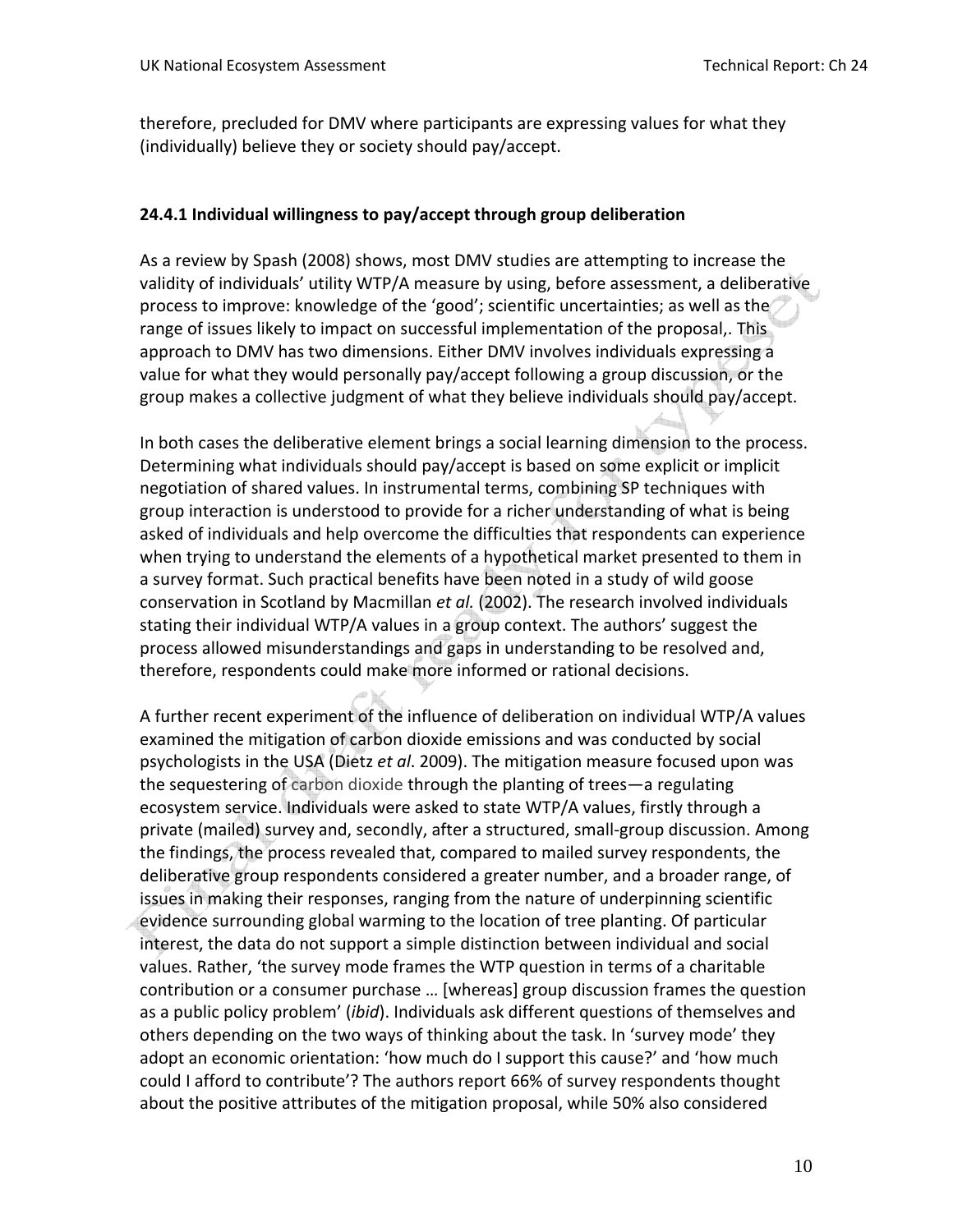therefore, precluded for DMV where participants are expressing values for what they (individually) believe they or society should pay/accept.

### **24.4.1 Individual willingness to pay/accept through group deliberation**

As a review by Spash (2008) shows, most DMV studies are attempting to increase the validity of individuals' utility WTP/A measure by using, before assessment, a deliberative process to improve: knowledge of the 'good'; scientific uncertainties; as well as the range of issues likely to impact on successful implementation of the proposal,. This approach to DMV has two dimensions. Either DMV involves individuals expressing a value for what they would personally pay/accept following a group discussion, or the group makes a collective judgment of what they believe individuals should pay/accept.

In both cases the deliberative element brings a social learning dimension to the process. Determining what individuals should pay/accept is based on some explicit or implicit negotiation of shared values. In instrumental terms, combining SP techniques with group interaction is understood to provide for a richer understanding of what is being asked of individuals and help overcome the difficulties that respondents can experience when trying to understand the elements of a hypothetical market presented to them in a survey format. Such practical benefits have been noted in a study of wild goose conservation in Scotland by Macmillan *et al.* (2002). The research involved individuals stating their individual WTP/A values in a group context. The authors' suggest the process allowed misunderstandings and gaps in understanding to be resolved and, therefore, respondents could make more informed or rational decisions.

A further recent experiment of the influence of deliberation on individual WTP/A values examined the mitigation of carbon dioxide emissions and was conducted by social psychologists in the USA (Dietz *et al*. 2009). The mitigation measure focused upon was the sequestering of carbon dioxide through the planting of trees—a regulating ecosystem service. Individuals were asked to state WTP/A values, firstly through a private (mailed) survey and, secondly, after a structured, small‐group discussion. Among the findings, the process revealed that, compared to mailed survey respondents, the deliberative group respondents considered a greater number, and a broader range, of issues in making their responses, ranging from the nature of underpinning scientific evidence surrounding global warming to the location of tree planting. Of particular interest, the data do not support a simple distinction between individual and social values. Rather, 'the survey mode frames the WTP question in terms of a charitable contribution or a consumer purchase … [whereas] group discussion frames the question as a public policy problem' (*ibid*). Individuals ask different questions of themselves and others depending on the two ways of thinking about the task. In 'survey mode' they adopt an economic orientation: 'how much do I support this cause?' and 'how much could I afford to contribute'? The authors report 66% of survey respondents thought about the positive attributes of the mitigation proposal, while 50% also considered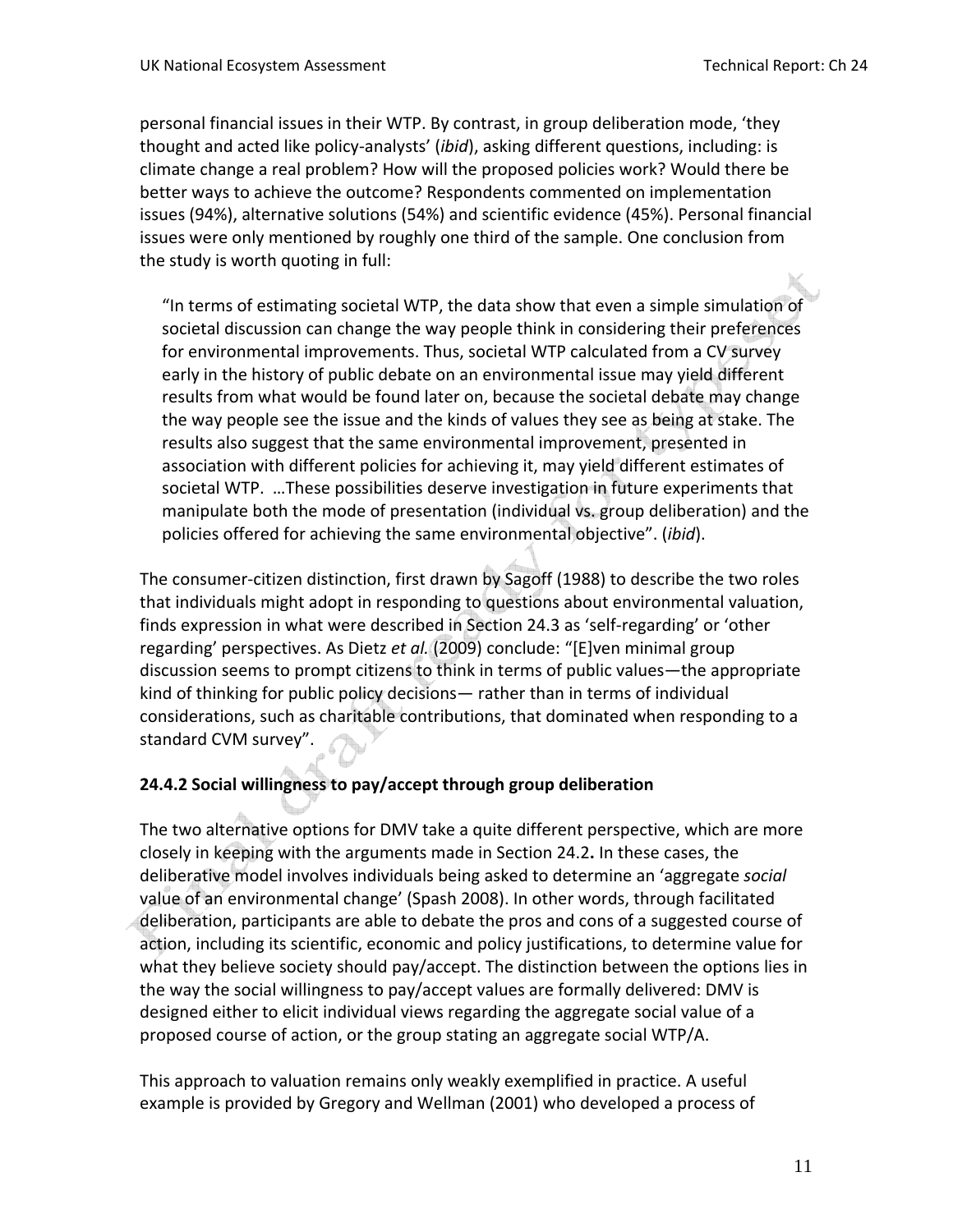personal financial issues in their WTP. By contrast, in group deliberation mode, 'they thought and acted like policy‐analysts' (*ibid*), asking different questions, including: is climate change a real problem? How will the proposed policies work? Would there be better ways to achieve the outcome? Respondents commented on implementation issues (94%), alternative solutions (54%) and scientific evidence (45%). Personal financial issues were only mentioned by roughly one third of the sample. One conclusion from the study is worth quoting in full:

"In terms of estimating societal WTP, the data show that even a simple simulation of societal discussion can change the way people think in considering their preferences for environmental improvements. Thus, societal WTP calculated from a CV survey early in the history of public debate on an environmental issue may yield different results from what would be found later on, because the societal debate may change the way people see the issue and the kinds of values they see as being at stake. The results also suggest that the same environmental improvement, presented in association with different policies for achieving it, may yield different estimates of societal WTP. …These possibilities deserve investigation in future experiments that manipulate both the mode of presentation (individual vs. group deliberation) and the policies offered for achieving the same environmental objective". (*ibid*).

The consumer-citizen distinction, first drawn by Sagoff (1988) to describe the two roles that individuals might adopt in responding to questions about environmental valuation, finds expression in what were described in Section 24.3 as 'self‐regarding' or 'other regarding' perspectives. As Dietz *et al.* (2009) conclude: "[E]ven minimal group discussion seems to prompt citizens to think in terms of public values—the appropriate kind of thinking for public policy decisions— rather than in terms of individual considerations, such as charitable contributions, that dominated when responding to a standard CVM survey".

## **24.4.2 Social willingness to pay/accept through group deliberation**

The two alternative options for DMV take a quite different perspective, which are more closely in keeping with the arguments made in Section 24.2**.** In these cases, the deliberative model involves individuals being asked to determine an 'aggregate *social* value of an environmental change' (Spash 2008). In other words, through facilitated deliberation, participants are able to debate the pros and cons of a suggested course of action, including its scientific, economic and policy justifications, to determine value for what they believe society should pay/accept. The distinction between the options lies in the way the social willingness to pay/accept values are formally delivered: DMV is designed either to elicit individual views regarding the aggregate social value of a proposed course of action, or the group stating an aggregate social WTP/A.

This approach to valuation remains only weakly exemplified in practice. A useful example is provided by Gregory and Wellman (2001) who developed a process of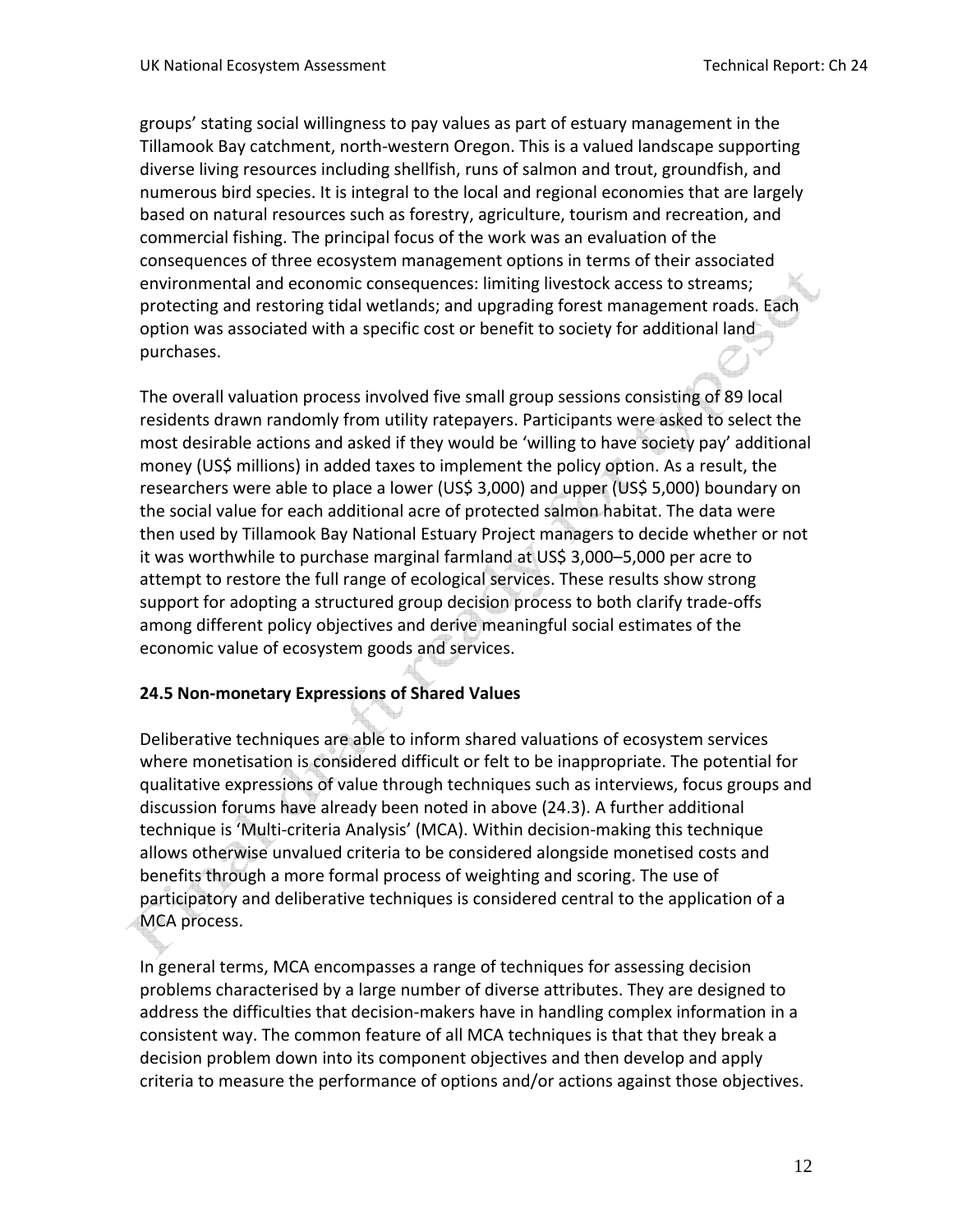groups' stating social willingness to pay values as part of estuary management in the Tillamook Bay catchment, north‐western Oregon. This is a valued landscape supporting diverse living resources including shellfish, runs of salmon and trout, groundfish, and numerous bird species. It is integral to the local and regional economies that are largely based on natural resources such as forestry, agriculture, tourism and recreation, and commercial fishing. The principal focus of the work was an evaluation of the consequences of three ecosystem management options in terms of their associated environmental and economic consequences: limiting livestock access to streams; protecting and restoring tidal wetlands; and upgrading forest management roads. Each option was associated with a specific cost or benefit to society for additional land purchases.

The overall valuation process involved five small group sessions consisting of 89 local residents drawn randomly from utility ratepayers. Participants were asked to select the most desirable actions and asked if they would be 'willing to have society pay' additional money (US\$ millions) in added taxes to implement the policy option. As a result, the researchers were able to place a lower (US\$ 3,000) and upper (US\$ 5,000) boundary on the social value for each additional acre of protected salmon habitat. The data were then used by Tillamook Bay National Estuary Project managers to decide whether or not it was worthwhile to purchase marginal farmland at US\$ 3,000–5,000 per acre to attempt to restore the full range of ecological services. These results show strong support for adopting a structured group decision process to both clarify trade‐offs among different policy objectives and derive meaningful social estimates of the economic value of ecosystem goods and services.

## **24.5 Non‐monetary Expressions of Shared Values**

Deliberative techniques are able to inform shared valuations of ecosystem services where monetisation is considered difficult or felt to be inappropriate. The potential for qualitative expressions of value through techniques such as interviews, focus groups and discussion forums have already been noted in above (24.3). A further additional technique is 'Multi‐criteria Analysis' (MCA). Within decision‐making this technique allows otherwise unvalued criteria to be considered alongside monetised costs and benefits through a more formal process of weighting and scoring. The use of participatory and deliberative techniques is considered central to the application of a MCA process.

In general terms, MCA encompasses a range of techniques for assessing decision problems characterised by a large number of diverse attributes. They are designed to address the difficulties that decision‐makers have in handling complex information in a consistent way. The common feature of all MCA techniques is that that they break a decision problem down into its component objectives and then develop and apply criteria to measure the performance of options and/or actions against those objectives.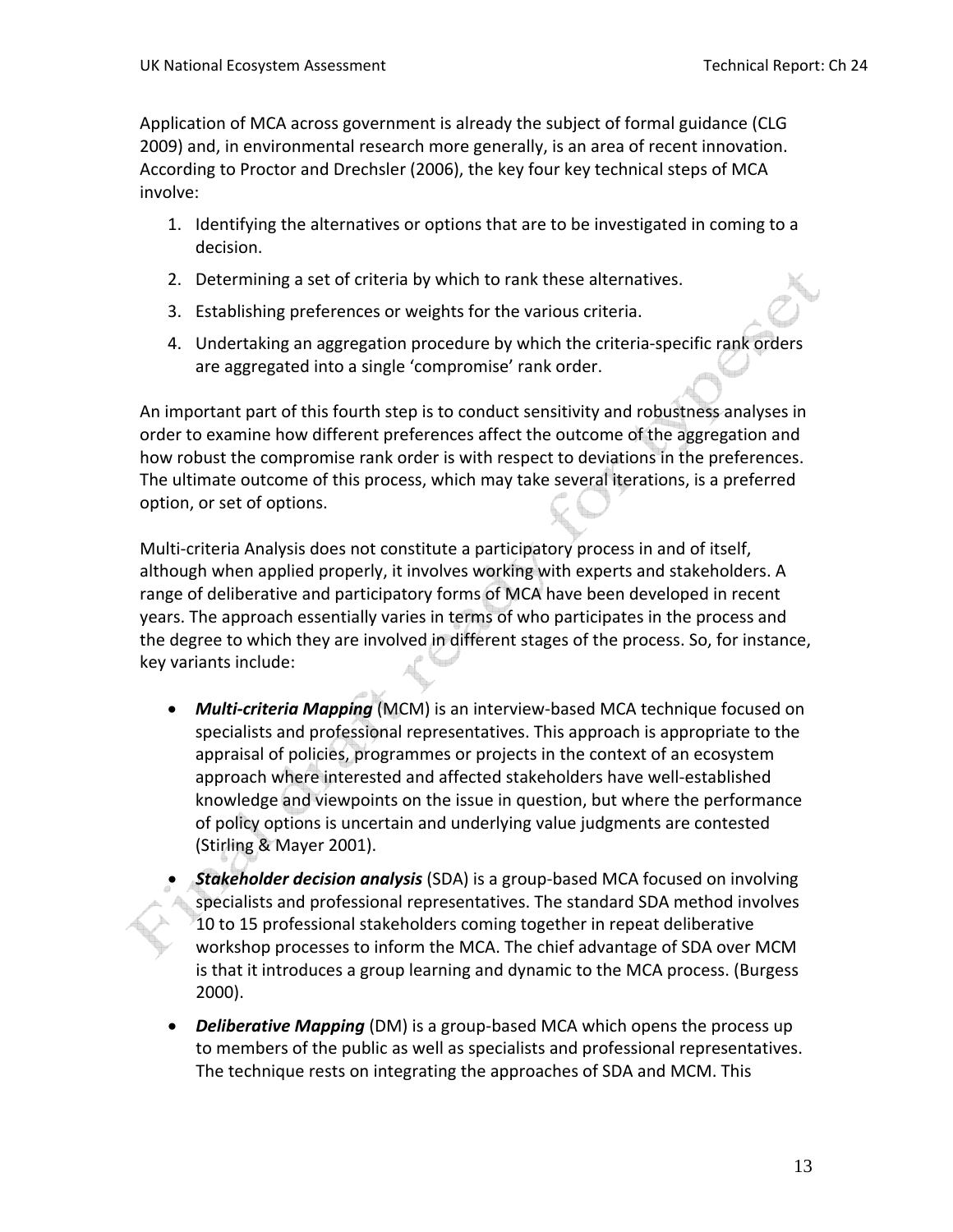Application of MCA across government is already the subject of formal guidance (CLG 2009) and, in environmental research more generally, is an area of recent innovation. According to Proctor and Drechsler (2006), the key four key technical steps of MCA involve:

- 1. Identifying the alternatives or options that are to be investigated in coming to a decision.
- 2. Determining a set of criteria by which to rank these alternatives.
- 3. Establishing preferences or weights for the various criteria.
- 4. Undertaking an aggregation procedure by which the criteria‐specific rank orders are aggregated into a single 'compromise' rank order.

An important part of this fourth step is to conduct sensitivity and robustness analyses in order to examine how different preferences affect the outcome of the aggregation and how robust the compromise rank order is with respect to deviations in the preferences. The ultimate outcome of this process, which may take several iterations, is a preferred option, or set of options.

Multi‐criteria Analysis does not constitute a participatory process in and of itself, although when applied properly, it involves working with experts and stakeholders. A range of deliberative and participatory forms of MCA have been developed in recent years. The approach essentially varies in terms of who participates in the process and the degree to which they are involved in different stages of the process. So, for instance, key variants include:

- *Multi‐criteria Mapping* (MCM) is an interview‐based MCA technique focused on specialists and professional representatives. This approach is appropriate to the appraisal of policies, programmes or projects in the context of an ecosystem approach where interested and affected stakeholders have well‐established knowledge and viewpoints on the issue in question, but where the performance of policy options is uncertain and underlying value judgments are contested (Stirling & Mayer 2001).
- *Stakeholder decision analysis* (SDA) is a group‐based MCA focused on involving specialists and professional representatives. The standard SDA method involves 10 to 15 professional stakeholders coming together in repeat deliberative workshop processes to inform the MCA. The chief advantage of SDA over MCM is that it introduces a group learning and dynamic to the MCA process. (Burgess 2000).
- *Deliberative Mapping* (DM) is a group‐based MCA which opens the process up to members of the public as well as specialists and professional representatives. The technique rests on integrating the approaches of SDA and MCM. This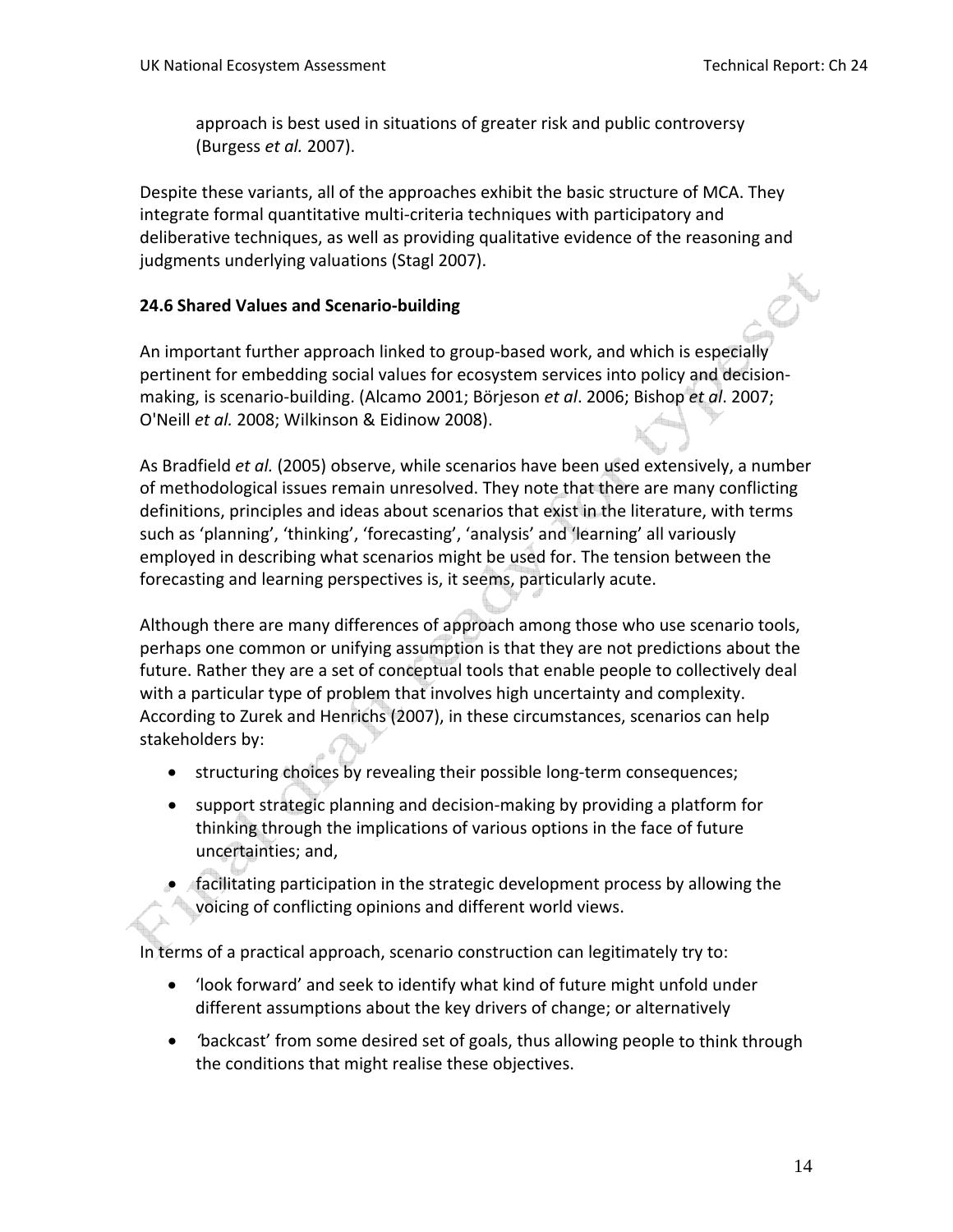approach is best used in situations of greater risk and public controversy (Burgess *et al.* 2007).

Despite these variants, all of the approaches exhibit the basic structure of MCA. They integrate formal quantitative multi‐criteria techniques with participatory and deliberative techniques, as well as providing qualitative evidence of the reasoning and judgments underlying valuations (Stagl 2007).

## **24.6 Shared Values and Scenario‐building**

An important further approach linked to group‐based work, and which is especially pertinent for embedding social values for ecosystem services into policy and decision‐ making, is scenario‐building. (Alcamo 2001; Börjeson *et al*. 2006; Bishop *et al*. 2007; O'Neill *et al.* 2008; Wilkinson & Eidinow 2008).

As Bradfield *et al.* (2005) observe, while scenarios have been used extensively, a number of methodological issues remain unresolved. They note that there are many conflicting definitions, principles and ideas about scenarios that exist in the literature, with terms such as 'planning', 'thinking', 'forecasting', 'analysis' and 'learning' all variously employed in describing what scenarios might be used for. The tension between the forecasting and learning perspectives is, it seems, particularly acute.

Although there are many differences of approach among those who use scenario tools, perhaps one common or unifying assumption is that they are not predictions about the future. Rather they are a set of conceptual tools that enable people to collectively deal with a particular type of problem that involves high uncertainty and complexity. According to Zurek and Henrichs (2007), in these circumstances, scenarios can help stakeholders by:

- structuring choices by revealing their possible long‐term consequences;
- support strategic planning and decision‐making by providing a platform for thinking through the implications of various options in the face of future uncertainties; and,
- facilitating participation in the strategic development process by allowing the voicing of conflicting opinions and different world views.

In terms of a practical approach, scenario construction can legitimately try to:

- 'look forward' and seek to identify what kind of future might unfold under different assumptions about the key drivers of change; or alternatively
- *'*backcast' from some desired set of goals, thus allowing people to think through the conditions that might realise these objectives.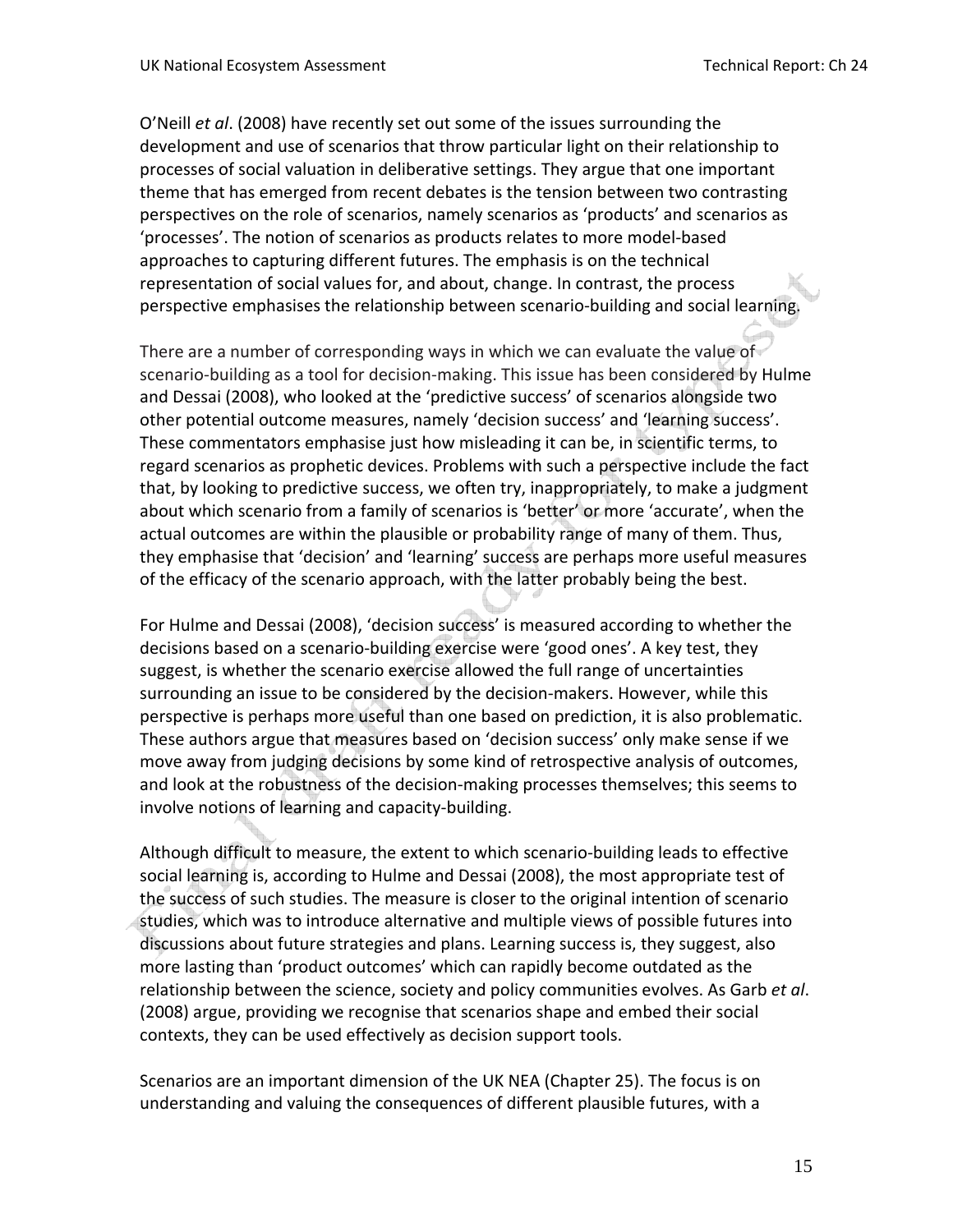O'Neill *et al*. (2008) have recently set out some of the issues surrounding the development and use of scenarios that throw particular light on their relationship to processes of social valuation in deliberative settings. They argue that one important theme that has emerged from recent debates is the tension between two contrasting perspectives on the role of scenarios, namely scenarios as 'products' and scenarios as 'processes'. The notion of scenarios as products relates to more model‐based approaches to capturing different futures. The emphasis is on the technical representation of social values for, and about, change. In contrast, the process perspective emphasises the relationship between scenario-building and social learning.

There are a number of corresponding ways in which we can evaluate the value of scenario-building as a tool for decision-making. This issue has been considered by Hulme and Dessai (2008), who looked at the 'predictive success' of scenarios alongside two other potential outcome measures, namely 'decision success' and 'learning success'. These commentators emphasise just how misleading it can be, in scientific terms, to regard scenarios as prophetic devices. Problems with such a perspective include the fact that, by looking to predictive success, we often try, inappropriately, to make a judgment about which scenario from a family of scenarios is 'better' or more 'accurate', when the actual outcomes are within the plausible or probability range of many of them. Thus, they emphasise that 'decision' and 'learning' success are perhaps more useful measures of the efficacy of the scenario approach, with the latter probably being the best.

For Hulme and Dessai (2008), 'decision success' is measured according to whether the decisions based on a scenario‐building exercise were 'good ones'. A key test, they suggest, is whether the scenario exercise allowed the full range of uncertainties surrounding an issue to be considered by the decision-makers. However, while this perspective is perhaps more useful than one based on prediction, it is also problematic. These authors argue that measures based on 'decision success' only make sense if we move away from judging decisions by some kind of retrospective analysis of outcomes, and look at the robustness of the decision‐making processes themselves; this seems to involve notions of learning and capacity‐building.

Although difficult to measure, the extent to which scenario‐building leads to effective social learning is, according to Hulme and Dessai (2008), the most appropriate test of the success of such studies. The measure is closer to the original intention of scenario studies, which was to introduce alternative and multiple views of possible futures into discussions about future strategies and plans. Learning success is, they suggest, also more lasting than 'product outcomes' which can rapidly become outdated as the relationship between the science, society and policy communities evolves. As Garb *et al*. (2008) argue, providing we recognise that scenarios shape and embed their social contexts, they can be used effectively as decision support tools.

Scenarios are an important dimension of the UK NEA (Chapter 25). The focus is on understanding and valuing the consequences of different plausible futures, with a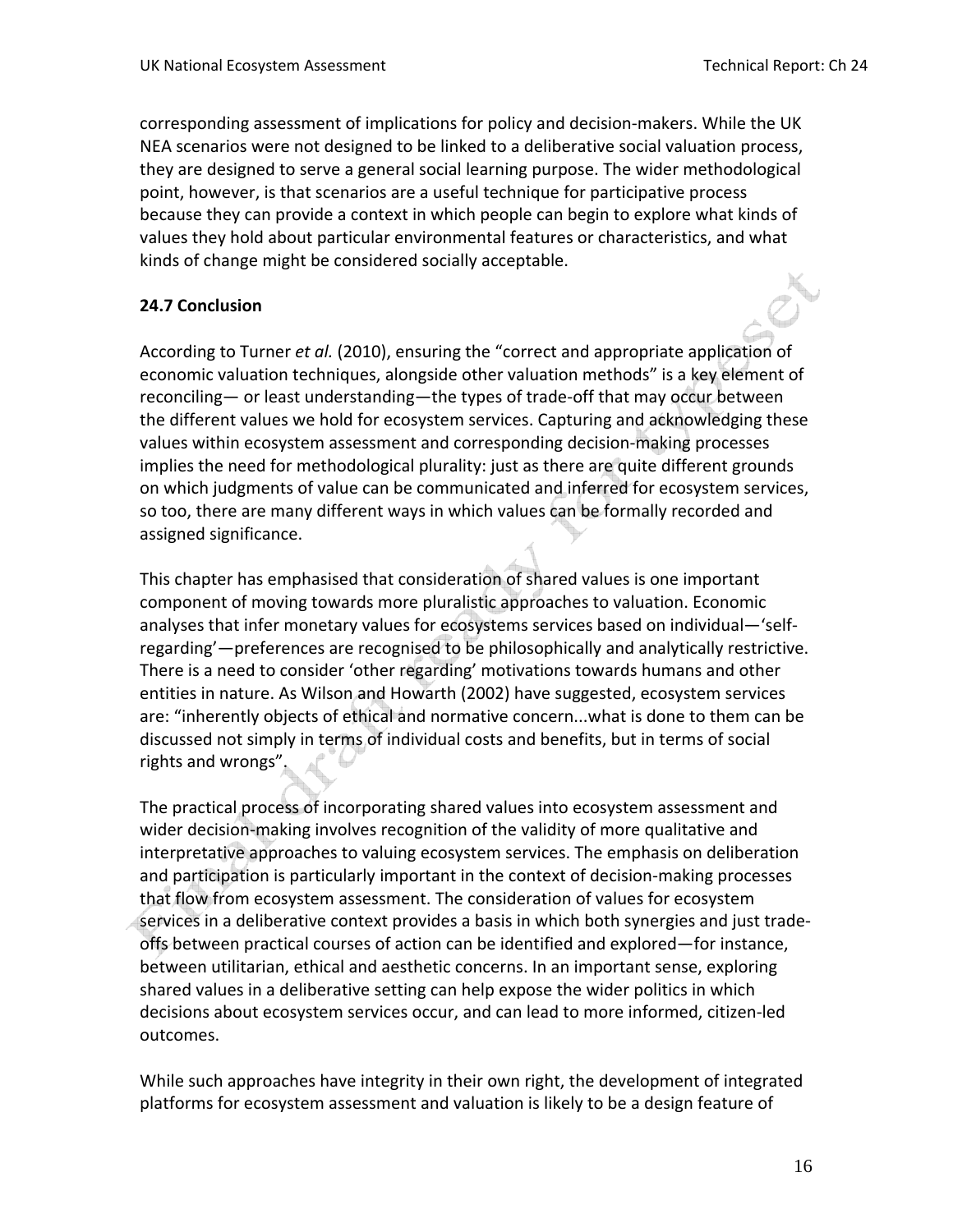corresponding assessment of implications for policy and decision‐makers. While the UK NEA scenarios were not designed to be linked to a deliberative social valuation process, they are designed to serve a general social learning purpose. The wider methodological point, however, is that scenarios are a useful technique for participative process because they can provide a context in which people can begin to explore what kinds of values they hold about particular environmental features or characteristics, and what kinds of change might be considered socially acceptable.

## **24.7 Conclusion**

According to Turner *et al.* (2010), ensuring the "correct and appropriate application of economic valuation techniques, alongside other valuation methods" is a key element of reconciling— or least understanding—the types of trade‐off that may occur between the different values we hold for ecosystem services. Capturing and acknowledging these values within ecosystem assessment and corresponding decision‐making processes implies the need for methodological plurality: just as there are quite different grounds on which judgments of value can be communicated and inferred for ecosystem services, so too, there are many different ways in which values can be formally recorded and assigned significance.

This chapter has emphasised that consideration of shared values is one important component of moving towards more pluralistic approaches to valuation. Economic analyses that infer monetary values for ecosystems services based on individual—'self‐ regarding'—preferences are recognised to be philosophically and analytically restrictive. There is a need to consider 'other regarding' motivations towards humans and other entities in nature. As Wilson and Howarth (2002) have suggested, ecosystem services are: "inherently objects of ethical and normative concern...what is done to them can be discussed not simply in terms of individual costs and benefits, but in terms of social rights and wrongs".

The practical process of incorporating shared values into ecosystem assessment and wider decision-making involves recognition of the validity of more qualitative and interpretative approaches to valuing ecosystem services. The emphasis on deliberation and participation is particularly important in the context of decision-making processes that flow from ecosystem assessment. The consideration of values for ecosystem services in a deliberative context provides a basis in which both synergies and just trade‐ offs between practical courses of action can be identified and explored—for instance, between utilitarian, ethical and aesthetic concerns. In an important sense, exploring shared values in a deliberative setting can help expose the wider politics in which decisions about ecosystem services occur, and can lead to more informed, citizen‐led outcomes.

While such approaches have integrity in their own right, the development of integrated platforms for ecosystem assessment and valuation is likely to be a design feature of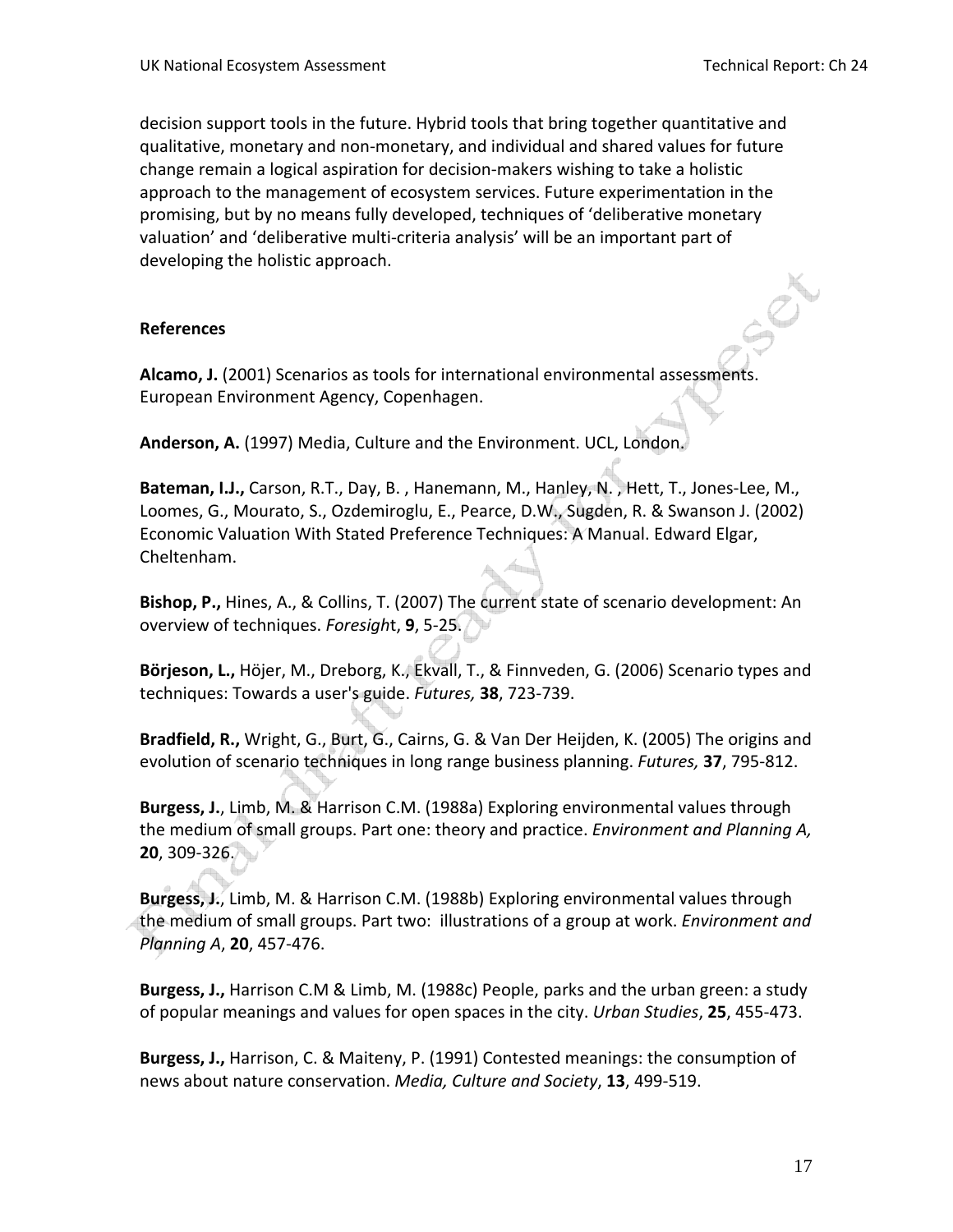decision support tools in the future. Hybrid tools that bring together quantitative and qualitative, monetary and non‐monetary, and individual and shared values for future change remain a logical aspiration for decision‐makers wishing to take a holistic approach to the management of ecosystem services. Future experimentation in the promising, but by no means fully developed, techniques of 'deliberative monetary valuation' and 'deliberative multi‐criteria analysis' will be an important part of developing the holistic approach.

## **References**

**Alcamo, J.** (2001) Scenarios as tools for international environmental assessments. European Environment Agency, Copenhagen.

**Anderson, A.** (1997) Media, Culture and the Environment. UCL, London.

**Bateman, I.J.,** Carson, R.T., Day, B. , Hanemann, M., Hanley, N. , Hett, T., Jones‐Lee, M., Loomes, G., Mourato, S., Ozdemiroglu, E., Pearce, D.W., Sugden, R. & Swanson J. (2002) Economic Valuation With Stated Preference Techniques: A Manual. Edward Elgar, Cheltenham.

**Bishop, P.,** Hines, A., & Collins, T. (2007) The current state of scenario development: An overview of techniques. *Foresigh*t, **9**, 5‐25.

**Börjeson, L.,** Höjer, M., Dreborg, K., Ekvall, T., & Finnveden, G. (2006) Scenario types and techniques: Towards a user's guide. *Futures,* **38**, 723‐739.

**Bradfield, R.,** Wright, G., Burt, G., Cairns, G. & Van Der Heijden, K. (2005) The origins and evolution of scenario techniques in long range business planning. *Futures,* **37**, 795‐812.

**Burgess, J.**, Limb, M. & Harrison C.M. (1988a) Exploring environmental values through the medium of small groups. Part one: theory and practice. *Environment and Planning A,* **20**, 309‐326.

**Burgess, J.**, Limb, M. & Harrison C.M. (1988b) Exploring environmental values through the medium of small groups. Part two: illustrations of a group at work. *Environment and Planning A*, **20**, 457‐476.

**Burgess, J.,** Harrison C.M & Limb, M. (1988c) People, parks and the urban green: a study of popular meanings and values for open spaces in the city. *Urban Studies*, **25**, 455‐473.

**Burgess, J.,** Harrison, C. & Maiteny, P. (1991) Contested meanings: the consumption of news about nature conservation. *Media, Culture and Society*, **13**, 499‐519.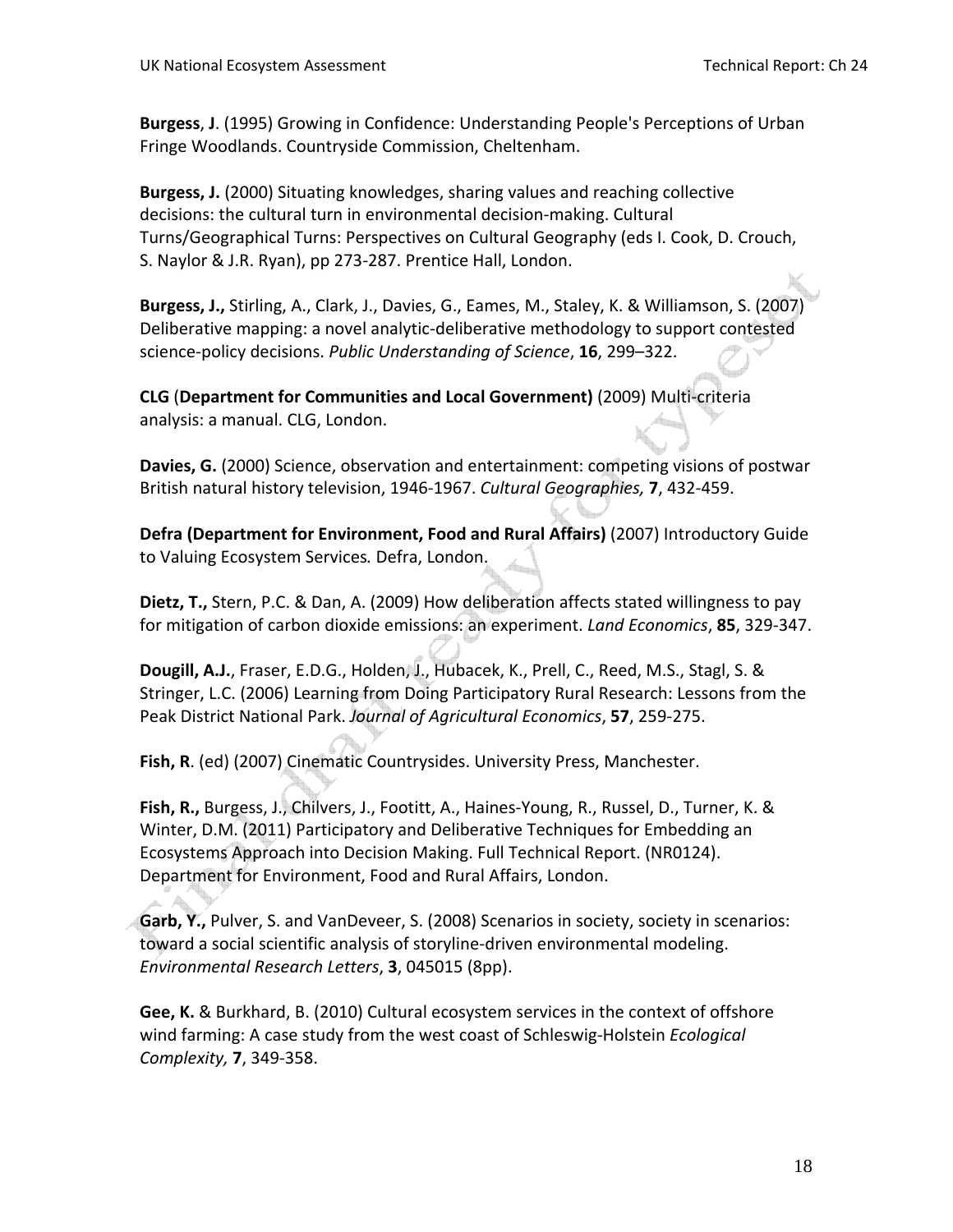**Burgess**, **J**. (1995) Growing in Confidence: Understanding People's Perceptions of Urban Fringe Woodlands. Countryside Commission, Cheltenham.

**Burgess, J.** (2000) Situating knowledges, sharing values and reaching collective decisions: the cultural turn in environmental decision‐making. Cultural Turns/Geographical Turns: Perspectives on Cultural Geography (eds I. Cook, D. Crouch, S. Naylor & J.R. Ryan), pp 273‐287. Prentice Hall, London.

**Burgess, J.,** Stirling, A., Clark, J., Davies, G., Eames, M., Staley, K. & Williamson, S. (2007) Deliberative mapping: a novel analytic‐deliberative methodology to support contested science‐policy decisions. *Public Understanding of Science*, **16**, 299–322.

**CLG** (**Department for Communities and Local Government)** (2009) Multi‐criteria analysis: a manual. CLG, London.

**Davies, G.** (2000) Science, observation and entertainment: competing visions of postwar British natural history television, 1946‐1967. *Cultural Geographies,* **7**, 432‐459.

**Defra (Department for Environment, Food and Rural Affairs)** (2007) Introductory Guide to Valuing Ecosystem Services*.* Defra, London.

**Dietz, T.,** Stern, P.C. & Dan, A. (2009) How deliberation affects stated willingness to pay for mitigation of carbon dioxide emissions: an experiment. *Land Economics*, **85**, 329‐347.

**Dougill, A.J.**, Fraser, E.D.G., Holden, J., Hubacek, K., Prell, C., Reed, M.S., Stagl, S. & Stringer, L.C. (2006) Learning from Doing Participatory Rural Research: Lessons from the Peak District National Park. *Journal of Agricultural Economics*, **57**, 259‐275.

**Fish, R**. (ed) (2007) Cinematic Countrysides. University Press, Manchester.

**Fish, R.,** Burgess, J., Chilvers, J., Footitt, A., Haines‐Young, R., Russel, D., Turner, K. & Winter, D.M. (2011) Participatory and Deliberative Techniques for Embedding an Ecosystems Approach into Decision Making. Full Technical Report. (NR0124). Department for Environment, Food and Rural Affairs, London.

**Garb, Y.,** Pulver, S. and VanDeveer, S. (2008) Scenarios in society, society in scenarios: toward a social scientific analysis of storyline‐driven environmental modeling. *Environmental Research Letters*, **3**, 045015 (8pp).

**Gee, K.** & Burkhard, B. (2010) Cultural ecosystem services in the context of offshore wind farming: A case study from the west coast of Schleswig‐Holstein *Ecological Complexity,* **7**, 349‐358.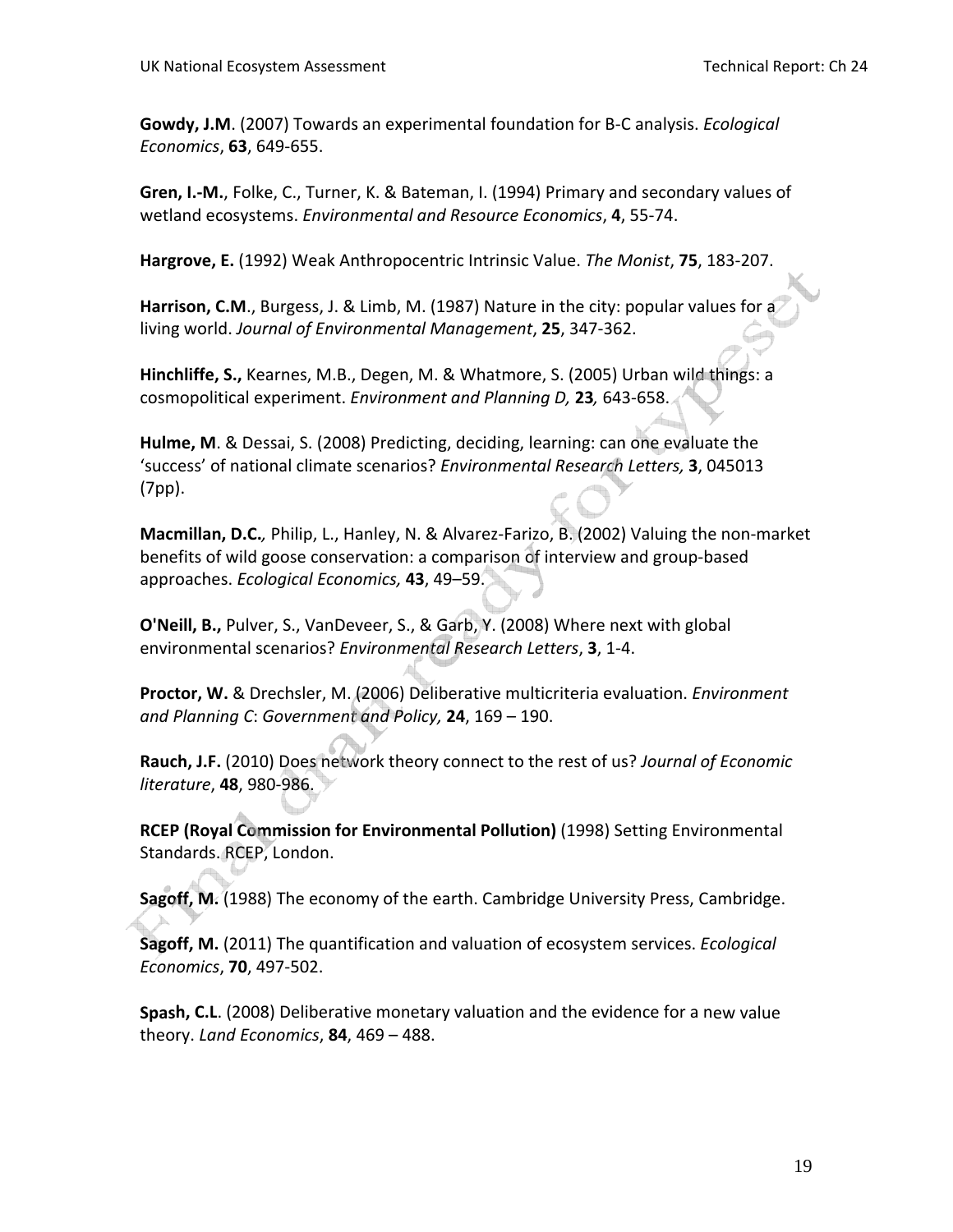Gowdy, J.M. (2007) Towards an experimental foundation for B-C analysis. *Ecological Econo omics*, **63**, 64 49‐655.

Gren, I.-M., Folke, C., Turner, K. & Bateman, I. (1994) Primary and secondary values of wetland ecosystems. *Environmental and Resource Economics*, 4, 55-74.

Hargrove, E. (1992) Weak Anthropocentric Intrinsic Value. The Monist, 75, 183-207.

Harrison, C.M., Burgess, J. & Limb, M. (1987) Nature in the city: popular values for a living g world. *Jour rnal of Enviro onmental M Management*, **25**, 347‐36 2.

Hinchliffe, S., Kearnes, M.B., Degen, M. & Whatmore, S. (2005) Urban wild things: a cosmopolitical experiment. *Environment and Planning D,* 23, 643-658.

Hulme, M. & Dessai, S. (2008) Predicting, deciding, learning: can one evaluate the 'success' of national climate scenarios? *Environmental Research Letters*, 3, 045013 (7pp) ).

Macmillan, D.C., Philip, L., Hanley, N. & Alvarez-Farizo, B. (2002) Valuing the non-market benefits of wild goose conservation: a comparison of interview and group-based approaches. *Ecological Economics,* 43, 49-59.

O'Neill, B., Pulver, S., VanDeveer, S., & Garb, Y. (2008) Where next with global environmental scenarios? *Environmental Research Letters*, 3, 1-4.

Proctor, W. & Drechsler, M. (2006) Deliberative multicriteria evaluation. *Environment and P Planning C*: *G Government t and Policy,* **24**, 169 – 19 90.

Rauch, J.F. (2010) Does network theory connect to the rest of us? Journal of Economic *litera ature*, **48**, 98 0‐986.

**RCEP** (Royal Commission for Environmental Pollution) (1998) Setting Environmental Standards. RCEP, London.

Sagoff, M. (1988) The economy of the earth. Cambridge University Press, Cambridge.

Sagoff, M. (2011) The quantification and valuation of ecosystem services. *Ecological Econo omics*, **70**, 49 97‐502.

Spash, C.L. (2008) Deliberative monetary valuation and the evidence for a new value theor ry. *Land Eco nomics*, **84**, 469 – 488.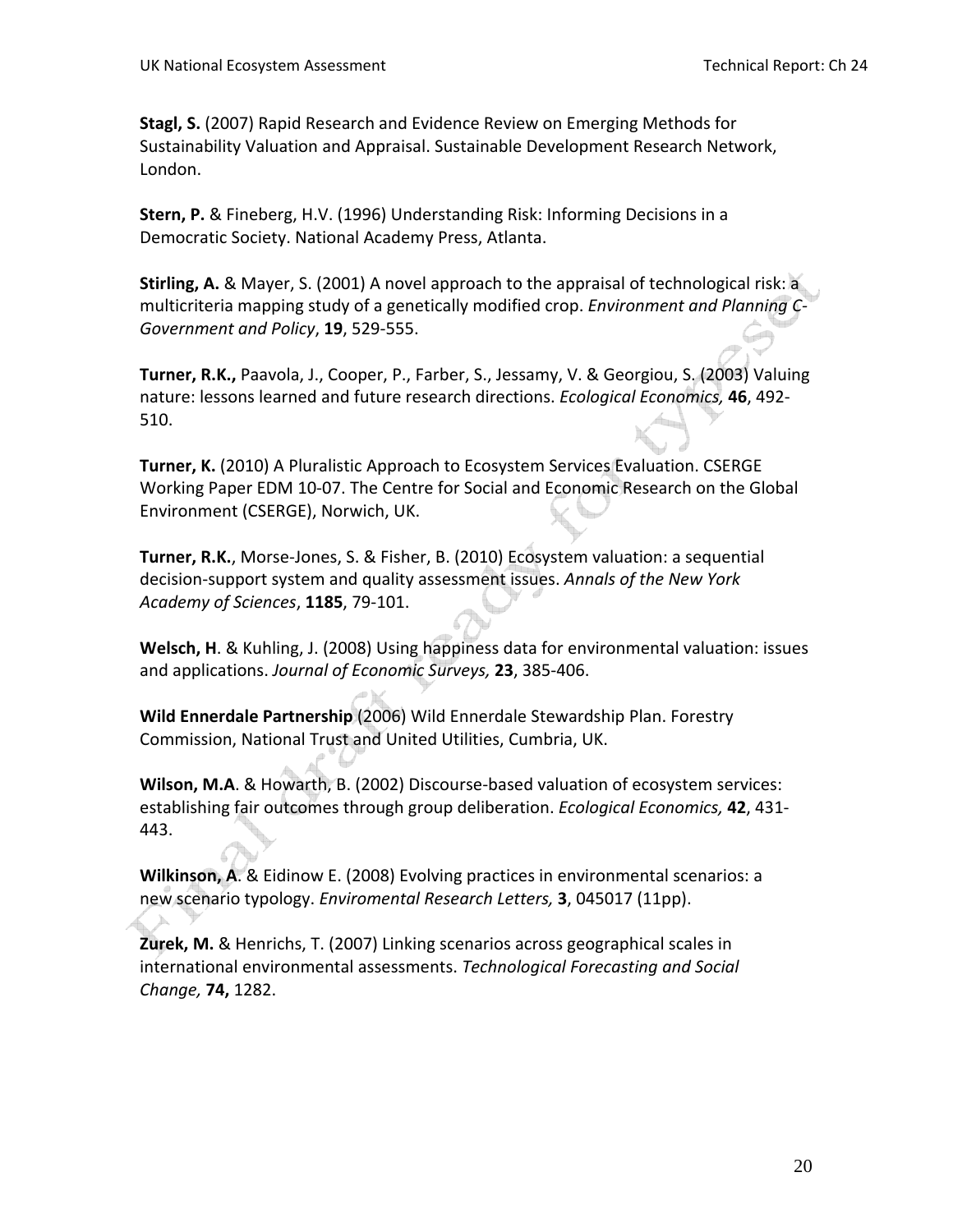**Stagl, S.** (2007) Rapid Research and Evidence Review on Emerging Methods for Sustainability Valuation and Appraisal. Sustainable Development Research Network, London.

**Stern, P.** & Fineberg, H.V. (1996) Understanding Risk: Informing Decisions in a Democratic Society. National Academy Press, Atlanta.

**Stirling, A.** & Mayer, S. (2001) A novel approach to the appraisal of technological risk: a multicriteria mapping study of a genetically modified crop. *Environment and Planning C‐ Government and Policy*, **19**, 529‐555.

**Turner, R.K.,** Paavola, J., Cooper, P., Farber, S., Jessamy, V. & Georgiou, S. (2003) Valuing nature: lessons learned and future research directions. *Ecological Economics,* **46**, 492‐ 510.

**Turner, K.** (2010) A Pluralistic Approach to Ecosystem Services Evaluation. CSERGE Working Paper EDM 10‐07. The Centre for Social and Economic Research on the Global Environment (CSERGE), Norwich, UK.

**Turner, R.K.**, Morse‐Jones, S. & Fisher, B. (2010) Ecosystem valuation: a sequential decision‐support system and quality assessment issues. *Annals of the New York Academy of Sciences*, **1185**, 79‐101.

**Welsch, H**. & Kuhling, J. (2008) Using happiness data for environmental valuation: issues and applications. *Journal of Economic Surveys,* **23**, 385‐406.

**Wild Ennerdale Partnership** (2006) Wild Ennerdale Stewardship Plan. Forestry Commission, National Trust and United Utilities, Cumbria, UK.

**Wilson, M.A**. & Howarth, B. (2002) Discourse‐based valuation of ecosystem services: establishing fair outcomes through group deliberation. *Ecological Economics,* **42**, 431‐ 443.

**Wilkinson, A**. & Eidinow E. (2008) Evolving practices in environmental scenarios: a new scenario typology. *Enviromental Research Letters,* **3**, 045017 (11pp).

**Zurek, M.** & Henrichs, T. (2007) Linking scenarios across geographical scales in international environmental assessments. *Technological Forecasting and Social Change,* **74,** 1282.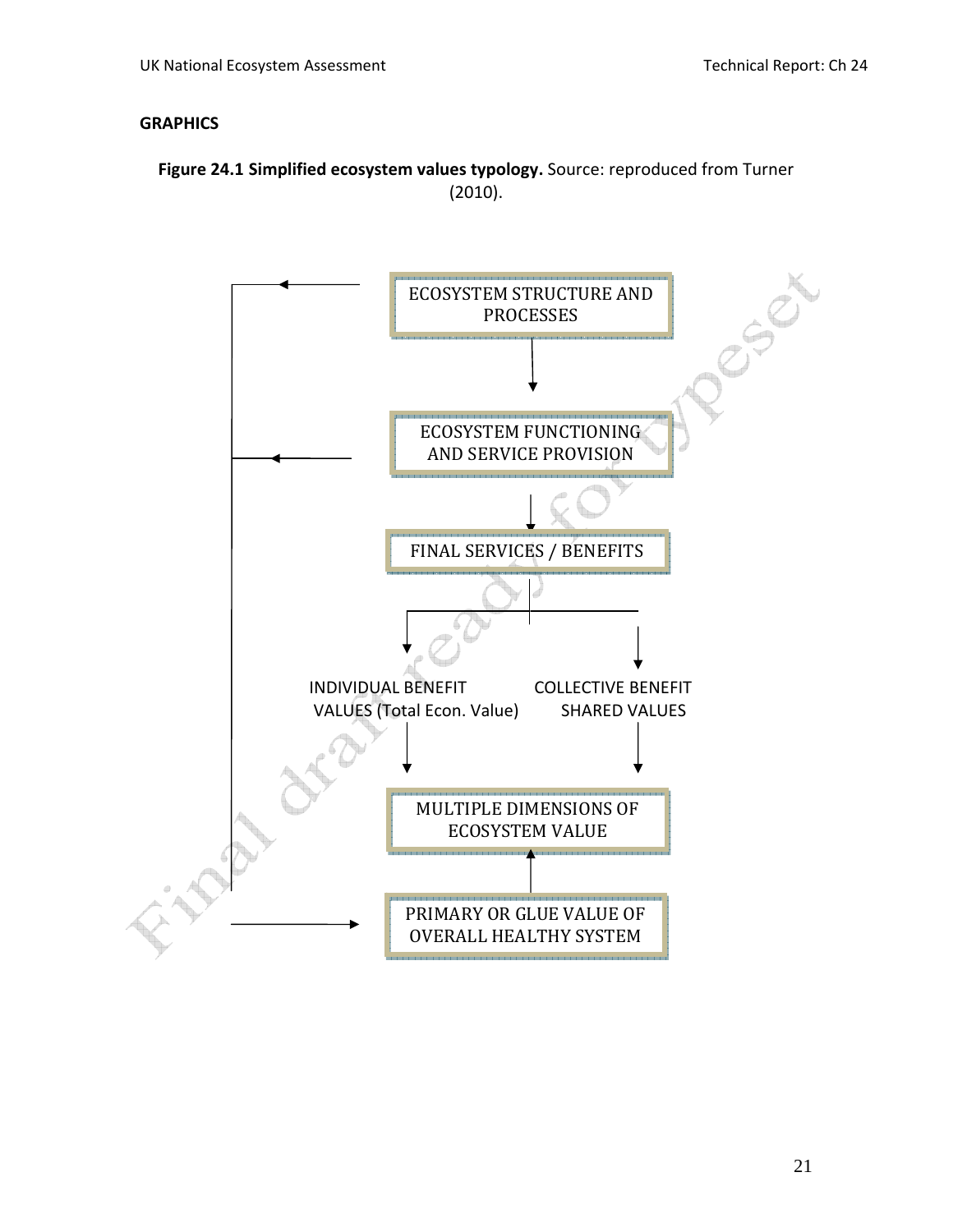### **GRAPHICS**

## **Figure 24.1 Simplified ecosystem values typology.** Source: reproduced from Turner (2010).

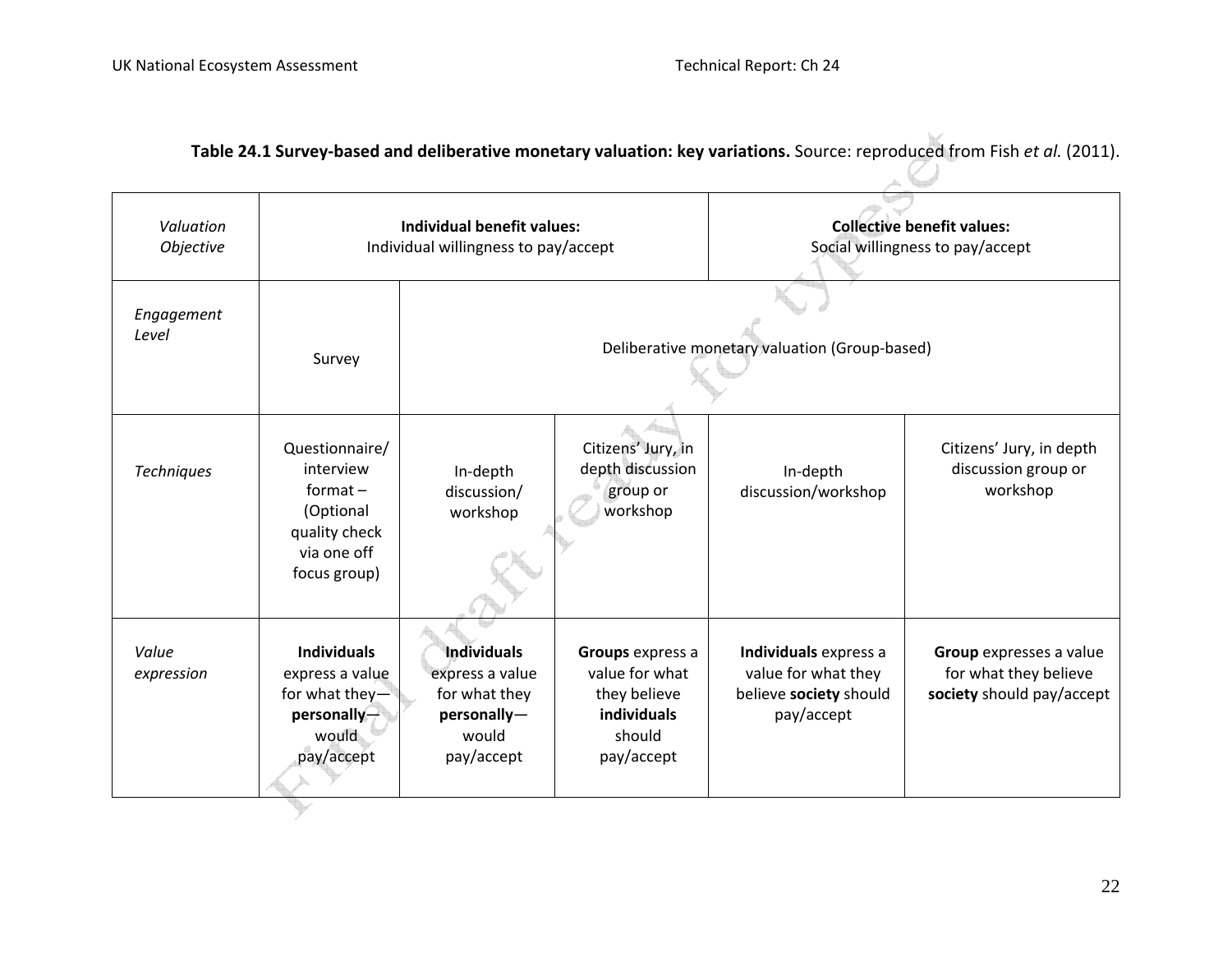$\mathcal{C}$ 

| Valuation<br><b>Objective</b> | <b>Individual benefit values:</b><br>Individual willingness to pay/accept                              |                                                                                              |                                                                                                  | <b>Collective benefit values:</b><br>Social willingness to pay/accept                |                                                                               |  |
|-------------------------------|--------------------------------------------------------------------------------------------------------|----------------------------------------------------------------------------------------------|--------------------------------------------------------------------------------------------------|--------------------------------------------------------------------------------------|-------------------------------------------------------------------------------|--|
| Engagement<br>Level           | Survey                                                                                                 | Deliberative monetary valuation (Group-based)                                                |                                                                                                  |                                                                                      |                                                                               |  |
| <b>Techniques</b>             | Questionnaire/<br>interview<br>$format -$<br>(Optional<br>quality check<br>via one off<br>focus group) | In-depth<br>discussion/<br>workshop                                                          | Citizens' Jury, in<br>depth discussion<br>group or<br>workshop                                   | In-depth<br>discussion/workshop                                                      | Citizens' Jury, in depth<br>discussion group or<br>workshop                   |  |
| Value<br>expression           | <b>Individuals</b><br>express a value<br>for what they $-$<br>personally $-$<br>would<br>pay/accept    | <b>Individuals</b><br>express a value<br>for what they<br>personally-<br>would<br>pay/accept | Groups express a<br>value for what<br>they believe<br><b>individuals</b><br>should<br>pay/accept | Individuals express a<br>value for what they<br>believe society should<br>pay/accept | Group expresses a value<br>for what they believe<br>society should pay/accept |  |

#### **Table 24.1 Survey‐based and deliberative monetary valuation: key variations.** Source: reproduced from Fish *et al.* (2011).